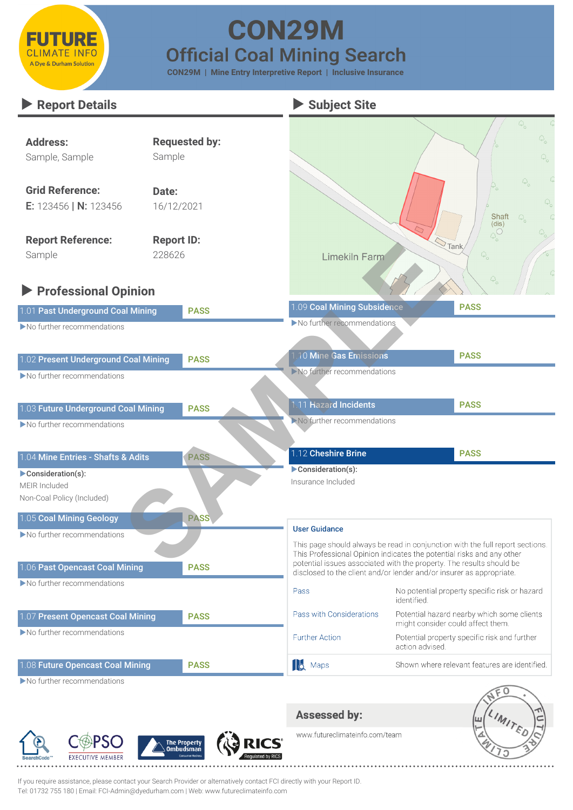

# **CON29M Official Coal Mining Search**

**CON29M | Mine Entry Interpretive Report | Inclusive Insurance**

#### **Report Details Subject Site** Q, **Requested by: Address:** Sample Sample, Sample **Grid Reference: Date:** E: 123456 | N: 123456 16/12/2021 Shaft  $(dis)$ **Report Reference: Report ID: SAMPLE**Sample 228626 **Professional Opinion** 1.09 Coal Mining Subsidence PASS 1.01 Past Underground Coal Mining PASS No further recommendations No further recommendations 1.10 Mine Gas Emissions PASS 1.02 Present Underground Coal Mining PASS No further recommendations No further recommendations 11 Hazard Incidents PASS 1.03 Future Underground Coal Mining PASS No further recommendations No further recommendations 1.12 Cheshire Brine **PASS** 1.04 Mine Entries - Shafts & Adits **PASS** Consideration(s): Consideration(s): Insurance Included MEIR Included Non-Coal Policy (Included) 1.05 Coal Mining Geology **PASS** No further recommendations 1.06 Past Opencast Coal Mining PASS No further recommendations Pass No potential property specific risk or hazard identified. Pass with Considerations Potential hazard nearby which some clients 1.07 Present Opencast Coal Mining PASS might consider could affect them. No further recommendations **Further Action** Potential property specific risk and further action advised 1.08 Future Opencast Coal Mining PASS **14** Maps Shown where relevant features are identified. No further recommendations



**Assessed by:** 

www.futureclimateinfo.com/team





If you require assistance, please contact your Search Provider or alternatively contact FCI directly with your Report ID. Tel: 01732 755 180 | Email: FCI-Admin@dyedurham.com | Web: www.futureclimateinfo.com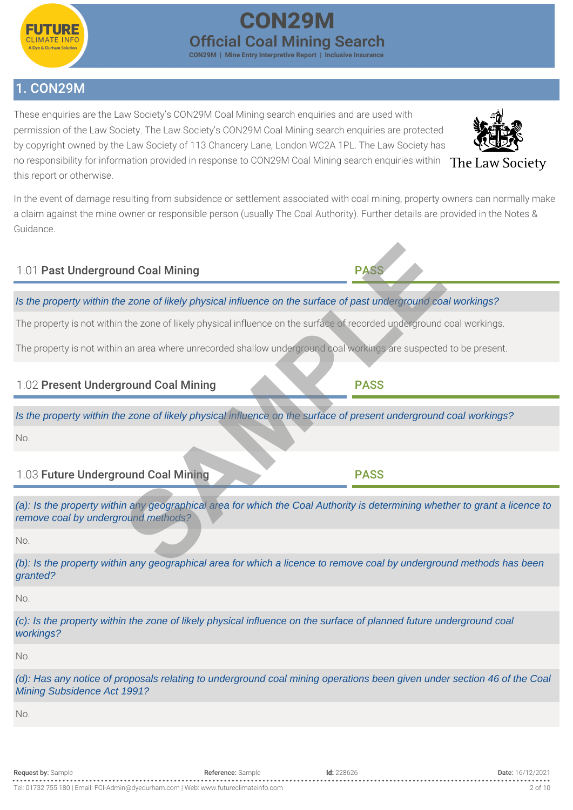

# :ON29M **Official Coal Mining Search CON29M | Mine Entry Interpretive Report | Inclusive Insurance**

# 1. CON29M

These enquiries are the Law Society's CON29M Coal Mining search enquiries and are used with permission of the Law Society. The Law Society's CON29M Coal Mining search enquiries are protected by copyright owned by the Law Society of 113 Chancery Lane, London WC2A 1PL. The Law Society has no responsibility for information provided in response to CON29M Coal Mining search enquiries within The La this report or otherwise.

In the event of damage resulting from subsidence or settlement associated with coal mining, property owners can normally make a claim against the mine owner or responsible person (usually The Coal Authority). Further details are provided in the Notes & Guidance.

# 1.01 Past Underground Coal Mining **PASS** *Is the property within the zone of likely physical influence on the surface of past underground coal workings?* The property is not within the zone of likely physical influence on the surface of recorded underground coal workings. The property is not within an area where unrecorded shallow underground coal workings are suspected to be present. 1.02 Present Underground Coal Mining PASS *Is the property within the zone of likely physical influence on the surface of present underground coal workings?* No. 1.03 Future Underground Coal Mining PASS *(a): Is the property within any geographical area for which the Coal Authority is determining whether to grant a licence to remove coal by underground methods?* No. *(b): Is the property within any geographical area for which a licence to remove coal by underground methods has been granted?* **Example 12 and Solution Control in the Surface of past underground computer of the zone of likely physical influence on the surface of recorded underground coal and are a where unrecorded shallow underground coal workings**

No.

*(c): Is the property within the zone of likely physical influence on the surface of planned future underground coal workings?*

No.

*(d): Has any notice of proposals relating to underground coal mining operations been given under section 46 of the Coal Mining Subsidence Act 1991?*

 $N<sub>0</sub>$ 



Society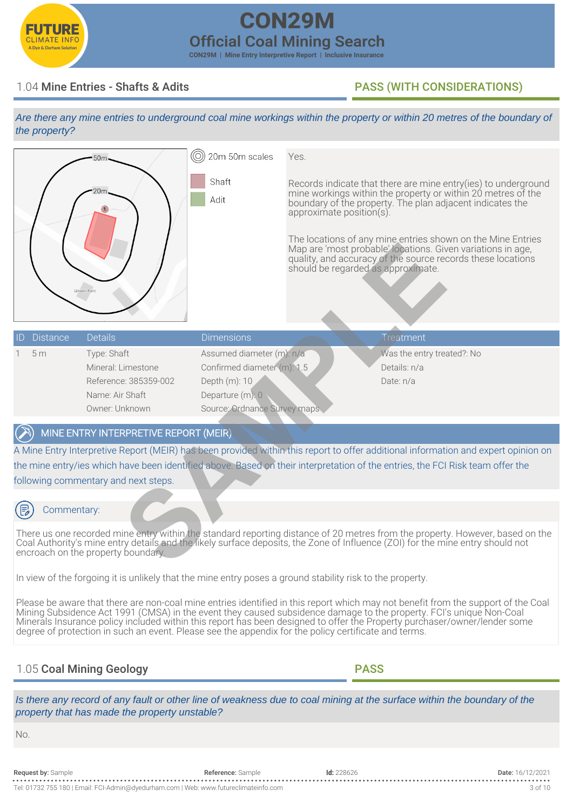

# **CON29M Official Coal Mining Search CON29M | Mine Entry Interpretive Report | Inclusive Insurance**

*Are there any mine entries to underground coal mine workings within the property or within 20 metres of the boundary of* 

# 1.04 Mine Entries - Shafts & Adits PASS (WITH CONSIDERATIONS)

# *the property?* (ල) 20m 50m scales Yes. 50<sub>m</sub> Shaft Records indicate that there are mine entry(ies) to underground  $20<sub>m</sub>$ mine workings within the property or within 20 metres of the Adit boundary of the property. The plan adjacent indicates the approximate position(s). The locations of any mine entries shown on the Mine Entries Note that the state of the state of the state of the state of the state of the state of the state of the state of the state of the state of the state of the state of the state of the state of the state of the state of the Map are 'most probable' locations. Given variations in age, quality, and accuracy of the source records these locations should be regarded as approximate. ID Distance Details Dimensions Treatment Assumed diameter (m): n/a 5 m Type: Shaft Was the entry treated?: No Confirmed diameter (m): 1.5 Mineral: Limestone Details: n/a Reference: 385359-002 Depth (m): 10 Date: n/a Name: Air Shaft Departure (m): 0 Owner: Unknown Source: Ordnance Survey maps **MINE ENTRY INTERPRETIVE REPORT (MEIR)** A Mine Entry Interpretive Report (MEIR) has been provided within this report to offer additional information and expert opinion on the mine entry/ies which have been identified above. Based on their interpretation of the entries, the FCI Risk team offer the

following commentary and next steps.



Commentary:

There us one recorded mine entry within the standard reporting distance of 20 metres from the property. However, based on the Coal Authority's mine entry details and the likely surface deposits, the Zone of Influence (ZOI) for the mine entry should not encroach on the property boundary.

In view of the forgoing it is unlikely that the mine entry poses a ground stability risk to the property.

Please be aware that there are non-coal mine entries identified in this report which may not benefit from the support of the Coal Mining Subsidence Act 1991 (CMSA) in the event they caused subsidence damage to the property. FCI's unique Non-Coal Minerals Insurance policy included within this report has been designed to offer the Property purchaser/owner/lender some degree of protection in such an event. Please see the appendix for the policy certificate and terms.

# 1.05 Coal Mining Geology PASS

Is there any record of any fault or other line of weakness due to coal mining at the surface within the boundary of the *property that has made the property unstable?*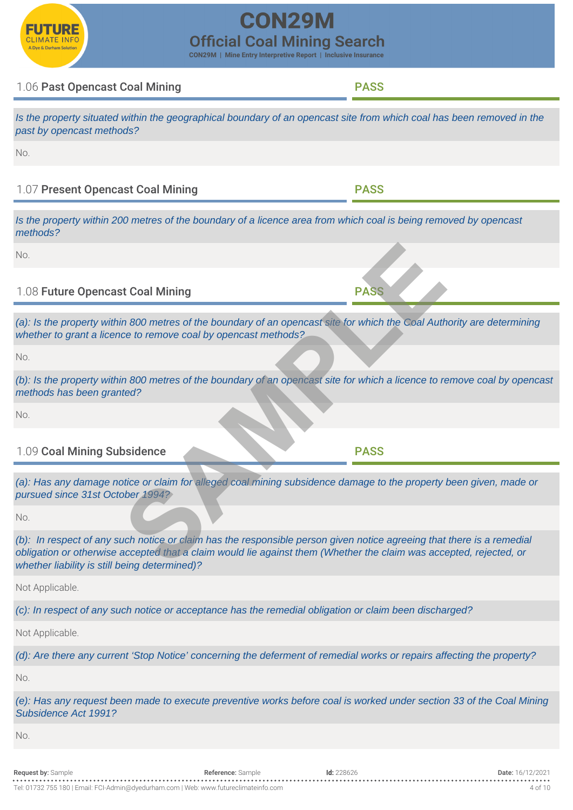

# **CON29M Official Coal Mining Search**

**CON29M | Mine Entry Interpretive Report | Inclusive Insurance**

# 1.06 Past Opencast Coal Mining PASS

| Is the property situated within the geographical boundary of an opencast site from which coal has been removed in the |  |
|-----------------------------------------------------------------------------------------------------------------------|--|
| past by opencast methods?                                                                                             |  |

No.

1.07 Present Opencast Coal Mining PASS

*Is the property within 200 metres of the boundary of a licence area from which coal is being removed by opencast methods?*

No.

1.08 Future Opencast Coal Mining **PASS** 

*(a): Is the property within 800 metres of the boundary of an opencast site for which the Coal Authority are determining whether to grant a licence to remove coal by opencast methods?*

No.

*(b): Is the property within 800 metres of the boundary of an opencast site for which a licence to remove coal by opencast methods has been granted?*

No.

# 1.09 Coal Mining Subsidence PASS

*(a): Has any damage notice or claim for alleged coal mining subsidence damage to the property been given, made or pursued since 31st October 1994?*

No.

*(b): In respect of any such notice or claim has the responsible person given notice agreeing that there is a remedial obligation or otherwise accepted that a claim would lie against them (Whether the claim was accepted, rejected, or whether liability is still being determined)?* No.<br>
1.08 **Future Opencast Coal Mining**<br>
(e): Is the property within 800 meters of the boundary of an opencast web or which the Cost Auth<br>
whether to grant a licence to remove coal by opencast methods?<br>
No.<br>
(b): Is the pr

Not Applicable.

*(c): In respect of any such notice or acceptance has the remedial obligation or claim been discharged?*

Not Applicable.

*(d): Are there any current 'Stop Notice' concerning the deferment of remedial works or repairs affecting the property?*

No.

*(e): Has any request been made to execute preventive works before coal is worked under section 33 of the Coal Mining Subsidence Act 1991?*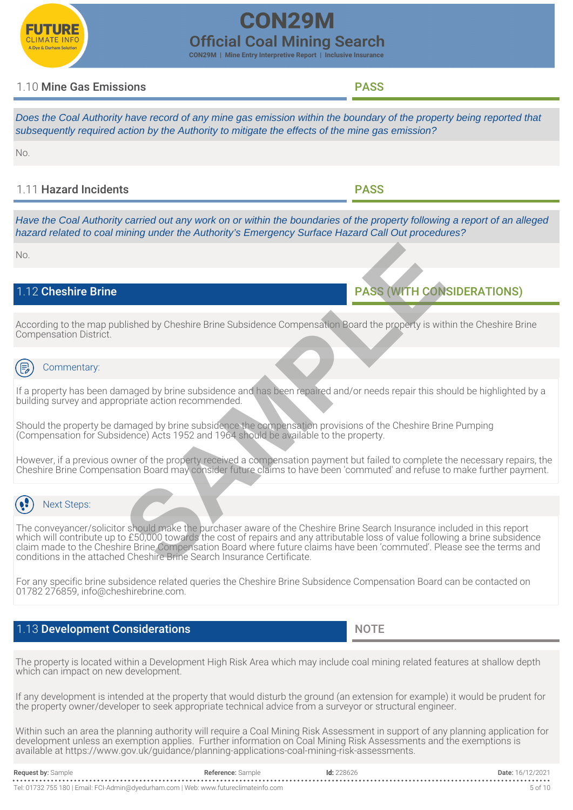# **Official Coal Mining Search CON29M | Mine Entry Interpretive Report | Inclusive Insurance**

# 1.10 Mine Gas Emissions PASS

*Does the Coal Authority have record of any mine gas emission within the boundary of the property being reported that subsequently required action by the Authority to mitigate the effects of the mine gas emission?*

**CON29M** 

No.

# 1.11 Hazard Incidents PASS

*Have the Coal Authority carried out any work on or within the boundaries of the property following a report of an alleged hazard related to coal mining under the Authority's Emergency Surface Hazard Call Out procedures?*

No.

According to the map published by Cheshire Brine Subsidence Compensation Board the property is within the Cheshire Brine Compensation District.

# Commentary:

If a property has been damaged by brine subsidence and has been repaired and/or needs repair this should be highlighted by a building survey and appropriate action recommended.

Should the property be damaged by brine subsidence the compensation provisions of the Cheshire Brine Pumping (Compensation for Subsidence) Acts 1952 and 1964 should be available to the property.

However, if a previous owner of the property received a compensation payment but failed to complete the necessary repairs, the Cheshire Brine Compensation Board may consider future claims to have been 'commuted' and refuse to make further payment.

# Next Steps:

The conveyancer/solicitor should make the purchaser aware of the Cheshire Brine Search Insurance included in this report which will contribute up to £50,000 towards the cost of repairs and any attributable loss of value following a brine subsidence claim made to the Cheshire Brine Compensation Board where future claims have been 'commuted'. Please see the terms and conditions in the attached Cheshire Brine Search Insurance Certificate. **axistance at https://www.gov.uk/guidance**/planning-applications-coal-mining-risk-assessments-<br>according-planning-planning-planning-commented components of the property is with components of the property of the subsidence

For any specific brine subsidence related queries the Cheshire Brine Subsidence Compensation Board can be contacted on 01782 276859, info@cheshirebrine.com.

# 13 Development Considerations NOTE

The property is located within a Development High Risk Area which may include coal mining related features at shallow depth which can impact on new development.

If any development is intended at the property that would disturb the ground (an extension for example) it would be prudent for the property owner/developer to seek appropriate technical advice from a surveyor or structural engineer.

Within such an area the planning authority will require a Coal Mining Risk Assessment in support of any planning application for development unless an exemption applies. Further information on Coal Mining Risk Assessments and the exemptions is<br>available at https://www.gov.uk/guidance/planning-applications-coal-mining-risk-assessments.

| <b>Request by: Sample</b>                                                            | <b>Reference:</b> Sample | Id: 228626 | <b>Date:</b> 16/12/2021 |
|--------------------------------------------------------------------------------------|--------------------------|------------|-------------------------|
|                                                                                      |                          |            |                         |
| Tel: 01732 755 180   Email: FCI-Admin@dyedurham.com   Web: www.futureclimateinfo.com |                          |            | 5 of 10                 |

1.12 Cheshire Brine Passachusetts and the extension of the PASS (WITH CONSIDERATIONS)

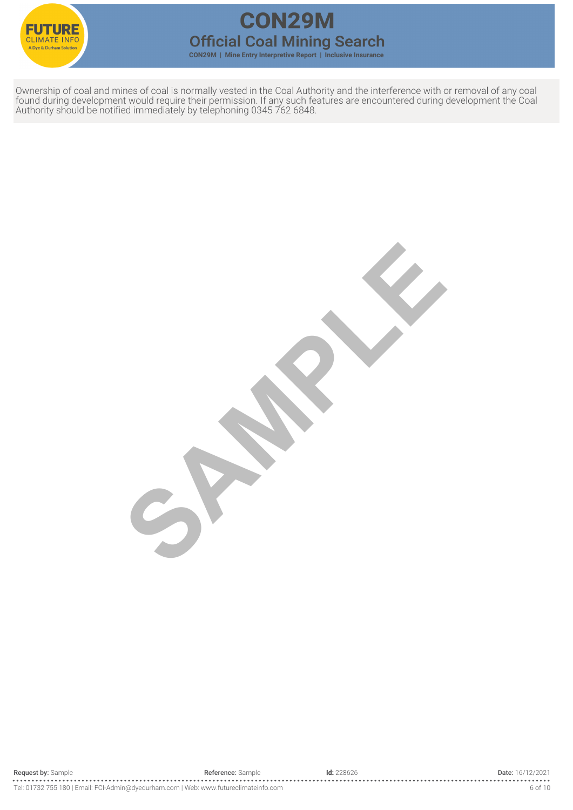

# **CON29M CON29M | Mine Entry Interpretive Report | Inclusive Insurance**

Ownership of coal and mines of coal is normally vested in the Coal Authority and the interference with or removal of any coal found during development would require their permission. If any such features are encountered during development the Coal Authority should be notified immediately by telephoning 0345 762 6848.

SPAMPLE

Tel: 01732 755 180 | Email: FCI-Admin@dyedurham.com | Web: www.futureclimateinfo.com 6 of 10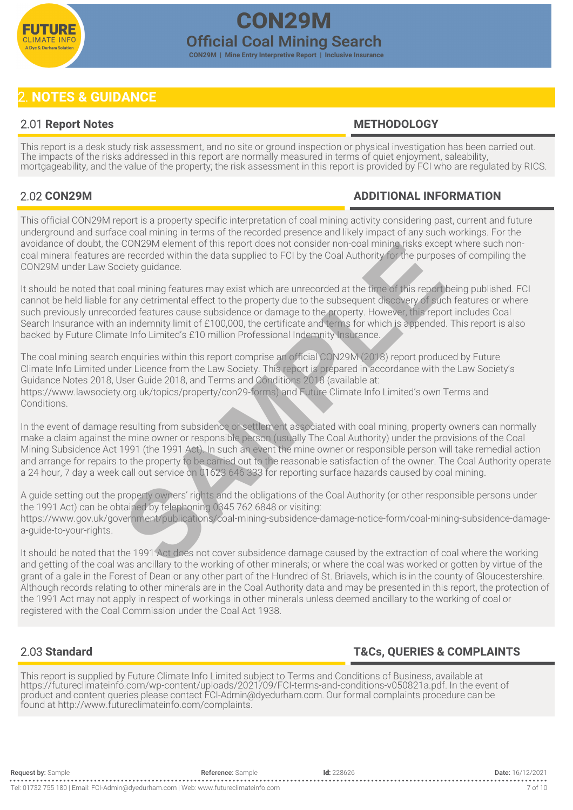

# **2. NOTES & GUIDANCE**

# **2.01 Report Notes METHODOLOGY**

This report is a desk study risk assessment, and no site or ground inspection or physical investigation has been carried out. The impacts of the risks addressed in this report are normally measured in terms of quiet enjoyment, saleability, mortgageability, and the value of the property; the risk assessment in this report is provided by FCI who are regulated by RICS.

# **2.02 CON29M ADDITIONAL INFORMATION**

This official CON29M report is a property specific interpretation of coal mining activity considering past, current and future underground and surface coal mining in terms of the recorded presence and likely impact of any such workings. For the avoidance of doubt, the CON29M element of this report does not consider non-coal mining risks except where such noncoal mineral features are recorded within the data supplied to FCI by the Coal Authority for the purposes of compiling the CON29M under Law Society guidance.

It should be noted that coal mining features may exist which are unrecorded at the time of this report being published. FCI cannot be held liable for any detrimental effect to the property due to the subsequent discovery of such features or where such previously unrecorded features cause subsidence or damage to the property. However, this report includes Coal Search Insurance with an indemnity limit of £100,000, the certificate and terms for which is appended. This report is also backed by Future Climate Info Limited's £10 million Professional Indemnity Insurance.

The coal mining search enquiries within this report comprise an official CON29M (2018) report produced by Future Climate Info Limited under Licence from the Law Society. This report is prepared in accordance with the Law Society's Guidance Notes 2018, User Guide 2018, and Terms and Conditions 2018 (available at: [https://www.lawsociety.org.uk/topics/property/con29-forms\)](https://www.lawsociety.org.uk/topics/property/con29-forms) and Future Climate Info Limited's own Terms and Conditions. CON<sup>2</sup>29M element of this report does not consider non-coal mining risks excepted within the data supplied to FCl by the Coal Authority for the purpose<br>icity guidance.<br>Science is econded within the data supplied to FCl by

In the event of damage resulting from subsidence or settlement associated with coal mining, property owners can normally make a claim against the mine owner or responsible person (usually The Coal Authority) under the provisions of the Coal Mining Subsidence Act 1991 (the 1991 Act). In such an event the mine owner or responsible person will take remedial action and arrange for repairs to the property to be carried out to the reasonable satisfaction of the owner. The Coal Authority operate a 24 hour, 7 day a week call out service on 01623 646 333 for reporting surface hazards caused by coal mining.

A guide setting out the property owners' rights and the obligations of the Coal Authority (or other responsible persons under the 1991 Act) can be obtained by telephoning 0345 762 6848 or visiting: [https://www.gov.uk/government/publications/coal-mining-subsidence-damage-notice-form/coal-mining-subsidence-damage](https://www.gov.uk/government/publications/coal-mining-subsidence-damage-notice-form/coal-mining-subsidence-damage-a-guide-to-your-rights)[a-guide-to-your-rights](https://www.gov.uk/government/publications/coal-mining-subsidence-damage-notice-form/coal-mining-subsidence-damage-a-guide-to-your-rights).

It should be noted that the 1991 Act does not cover subsidence damage caused by the extraction of coal where the working and getting of the coal was ancillary to the working of other minerals; or where the coal was worked or gotten by virtue of the grant of a gale in the Forest of Dean or any other part of the Hundred of St. Briavels, which is in the county of Gloucestershire. Although records relating to other minerals are in the Coal Authority data and may be presented in this report, the protection of the 1991 Act may not apply in respect of workings in other minerals unless deemed ancillary to the working of coal or registered with the Coal Commission under the Coal Act 1938.

# **2.03 Standard T&Cs, QUERIES & COMPLAINTS**

This report is supplied by Future Climate Info Limited subject to Terms and Conditions of Business, available at [https://futureclimateinfo.com/wp-content/uploads/2021/09/FCI-terms-and-conditions-v050821a.pdf.](https://futureclimateinfo.com/wp-content/uploads/2021/09/FCI-terms-and-conditions-v050821a.pdf.%20) In the event of product and content queries please contact [FCI-Admin@dyedurham.com.](mailto:FCI-Admin@dyedurham.com) Our formal complaints procedure can be found at<http://www.futureclimateinfo.com/complaints.>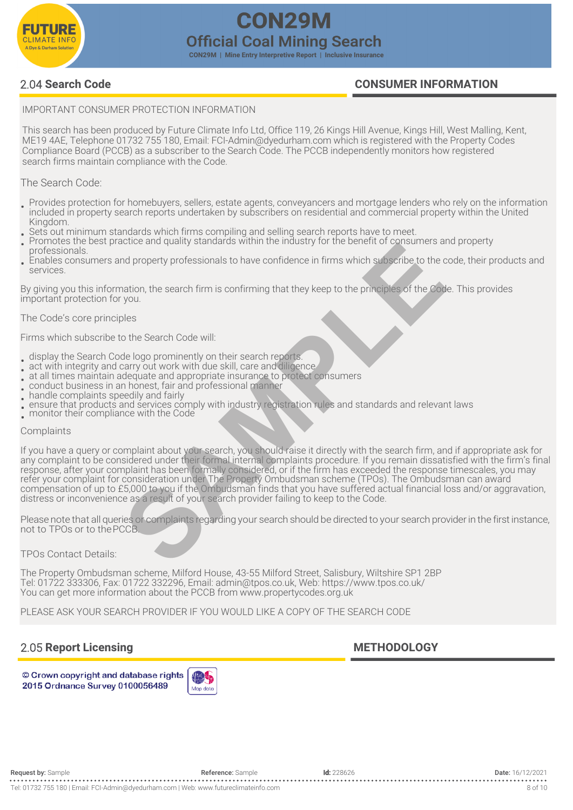

# **2.04 Search Code CONSUMER INFORMATION**

#### IMPORTANT CONSUMER PROTECTION INFORMATION

This search has been produced by Future Climate Info Ltd, Office 119, 26 Kings Hill Avenue, Kings Hill, West Malling, Kent, ME19 4AE, Telephone 01732 755 180, Email: [FCI-Admin@dyedurham.com](mailto:FCI-Admin@dyedurham.com) which is registered with the Property Codes Compliance Board (PCCB) as a subscriber to the Search Code. The PCCB independently monitors how registered search firms maintain compliance with the Code.

#### The Search Code:

- Provides protection for homebuyers, sellers, estate agents, conveyancers and mortgage lenders who rely on the information included in property search reports undertaken by subscribers on residential and commercial property within the United Kingdom.
- Sets out minimum standards which firms compiling and selling search reports have to meet.
- Promotes the best practice and quality standards within the industry for the benefit of consumers and property professionals.
- Enables consumers and property professionals to have confidence in firms which subscribe to the code, their products and services.

By giving you this information, the search firm is confirming that they keep to the principles of the Code. This provides important protection for you.

#### The Code's core principles

Firms which subscribe to the Search Code will:

- display the Search Code logo prominently on their search reports.
- act with integrity and carry out work with due skill, care and diligence
- at all times maintain adequate and appropriate insurance to protect consumers
- conduct business in an honest, fair and professional manner
- handle complaints speedily and fairly
- . ensure that products and services comply with industry registration rules and standards and relevant laws
- monitor their compliance with the Code

#### **Complaints**

If you have a query or complaint about your search, you should raise it directly with the search firm, and if appropriate ask for any complaint to be considered under their formal internal complaints procedure. If you remain dissatisfied with the firm's final response, after your complaint has been formally considered, or if the firm has exceeded the response timescales, you may refer your complaint for consideration under The Property Ombudsman scheme (TPOs). The Ombudsman can award compensation of up to £5,000 to you if the Ombudsman finds that you have suffered actual financial loss and/or aggravation, distress or inconvenience as a result of your search provider failing to keep to the Code. Example the distance of the Property of the Broad Consumers and property professionals to have confidence in firms which subscribe to the consumers and property professionals to have confidence in firms which subscribe to

Please note that all queries or complaints regarding your search should be directed to your search provider in the first instance, not to TPOs or to thePCCB.

#### TPOs Contact Details:

The Property Ombudsman scheme, Milford House, 43-55 Milford Street, Salisbury, Wiltshire SP1 2BP Tel: 01722 333306, Fax: 01722 332296, Email: [admin@tpos.co.uk, W](mailto:admin@tpos.co.uk)eb: [https://www.tpos.co.uk/](http://www.tpos.co.uk/)  You can get more information about the PCCB from [www.propertycodes.org.uk](http://www.propertycodes.org.uk/)

PLEASE ASK YOUR SEARCH PROVIDER IF YOU WOULD LIKE A COPY OF THE SEARCH CODE

# **2.05 Report Licensing METHODOLOGY**

© Crown copyright and database rights 2015 Ordnance Survey 0100056489

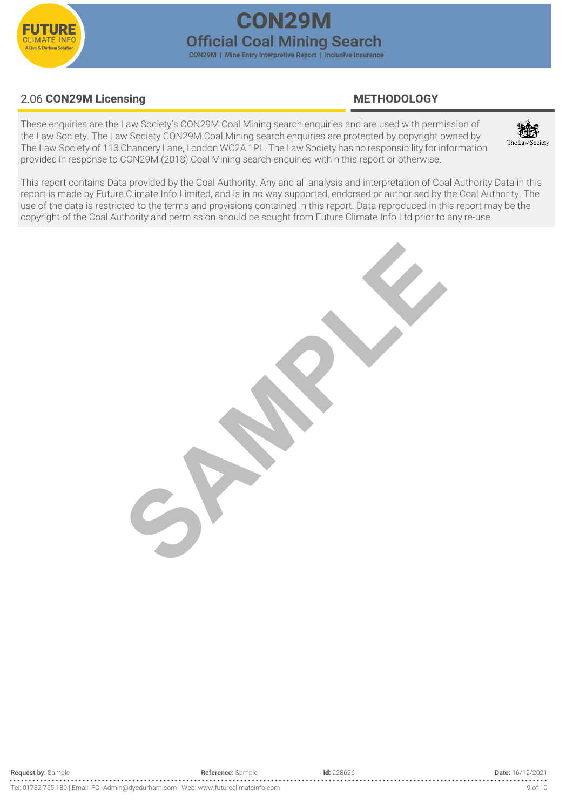

# **2.06 CON29M Licensing METHODOLOGY**

These enquiries are the Law Society's CON29M Coal Mining search enquiries and are used with permission of the Law Society. The Law Society CON29M Coal Mining search enquiries are protected by copyright owned by The Law Society of 113 Chancery Lane, London WC2A 1PL. The Law Society has no responsibility for information provided in response to CON29M (2018) Coal Mining search enquiries within this report or otherwise.



This report contains Data provided by the Coal Authority. Any and all analysis and interpretation of Coal Authority Data in this report is made by Future Climate Info Limited, and is in no way supported, endorsed or authorised by the Coal Authority. The use of the data is restricted to the terms and provisions contained in this report. Data reproduced in this report may be the copyright of the Coal Authority and permission should be sought from Future Climate Info Ltd prior to any re-use.

SPAMPLE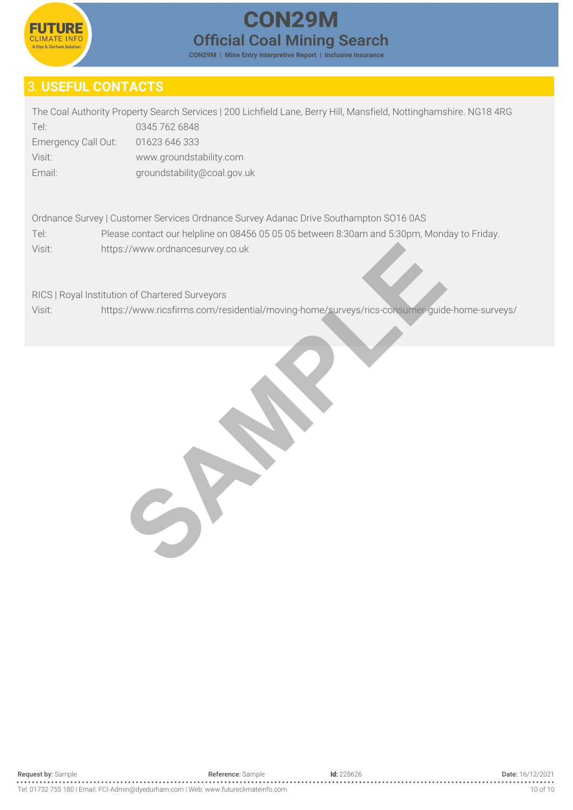

# **3. USEFUL CONTACTS**

| The Coal Authority Property Search Services   200 Lichfield Lane, Berry Hill, Mansfield, Nottinghamshire. NG18 4RG |                             |  |
|--------------------------------------------------------------------------------------------------------------------|-----------------------------|--|
| Tel:                                                                                                               | 0345 762 6848               |  |
| Emergency Call Out:                                                                                                | 01623 646 333               |  |
| Visit:                                                                                                             | www.groundstability.com     |  |
| Email:                                                                                                             | groundstability@coal.gov.uk |  |

|        | Ordnance Survey   Customer Services Ordnance Survey Adanac Drive Southampton SO16 0AS      |
|--------|--------------------------------------------------------------------------------------------|
| Tel:   | Please contact our helpline on 08456 05 05 05 between 8:30am and 5:30pm, Monday to Friday. |
| Visit: | https://www.ordnancesurvey.co.uk                                                           |
|        | RICS   Royal Institution of Chartered Surveyors                                            |
| Visit: | https://www.ricsfirms.com/residential/moving-home/surveys/rics-consumer-guide-home-surv    |
|        |                                                                                            |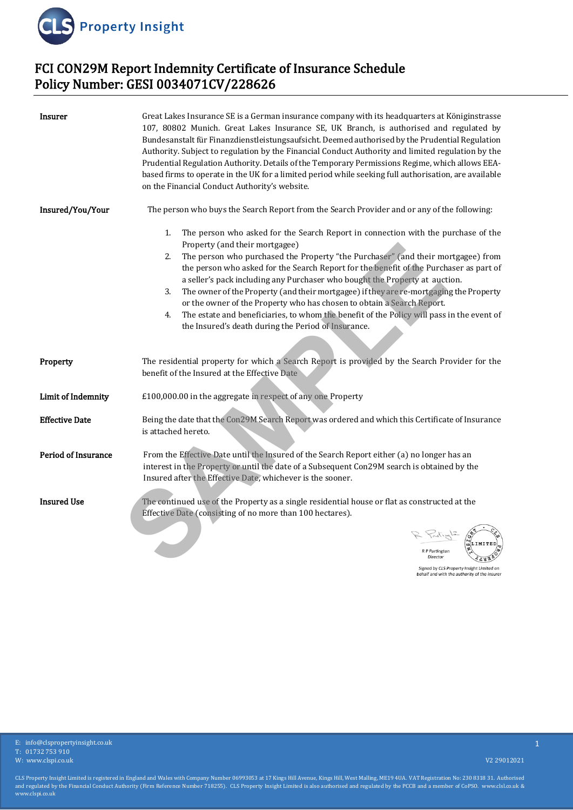

# **FCI CON29M Report Indemnity Certificate of Insurance Schedule Policy Number: GESI 0034071CV/228626**

| <b>Insurer</b>            | Great Lakes Insurance SE is a German insurance company with its headquarters at Königinstrasse<br>107, 80802 Munich. Great Lakes Insurance SE, UK Branch, is authorised and regulated by<br>Bundesanstalt für Finanzdienstleistungsaufsicht. Deemed authorised by the Prudential Regulation<br>Authority. Subject to regulation by the Financial Conduct Authority and limited regulation by the<br>Prudential Regulation Authority. Details of the Temporary Permissions Regime, which allows EEA-<br>based firms to operate in the UK for a limited period while seeking full authorisation, are available<br>on the Financial Conduct Authority's website.                                                                    |
|---------------------------|----------------------------------------------------------------------------------------------------------------------------------------------------------------------------------------------------------------------------------------------------------------------------------------------------------------------------------------------------------------------------------------------------------------------------------------------------------------------------------------------------------------------------------------------------------------------------------------------------------------------------------------------------------------------------------------------------------------------------------|
| Insured/You/Your          | The person who buys the Search Report from the Search Provider and or any of the following:                                                                                                                                                                                                                                                                                                                                                                                                                                                                                                                                                                                                                                      |
|                           | The person who asked for the Search Report in connection with the purchase of the<br>1.<br>Property (and their mortgagee)<br>The person who purchased the Property "the Purchaser" (and their mortgagee) from<br>2.<br>the person who asked for the Search Report for the benefit of the Purchaser as part of<br>a seller's pack including any Purchaser who bought the Property at auction.<br>3.<br>The owner of the Property (and their mortgagee) if they are re-mortgaging the Property<br>or the owner of the Property who has chosen to obtain a Search Report.<br>The estate and beneficiaries, to whom the benefit of the Policy will pass in the event of<br>4.<br>the Insured's death during the Period of Insurance. |
| Property                  | The residential property for which a Search Report is provided by the Search Provider for the<br>benefit of the Insured at the Effective Date                                                                                                                                                                                                                                                                                                                                                                                                                                                                                                                                                                                    |
| <b>Limit of Indemnity</b> | £100,000.00 in the aggregate in respect of any one Property                                                                                                                                                                                                                                                                                                                                                                                                                                                                                                                                                                                                                                                                      |
| <b>Effective Date</b>     | Being the date that the Con29M Search Report was ordered and which this Certificate of Insurance<br>is attached hereto.                                                                                                                                                                                                                                                                                                                                                                                                                                                                                                                                                                                                          |
| Period of Insurance       | From the Effective Date until the Insured of the Search Report either (a) no longer has an<br>interest in the Property or until the date of a Subsequent Con29M search is obtained by the<br>Insured after the Effective Date, whichever is the sooner.                                                                                                                                                                                                                                                                                                                                                                                                                                                                          |
| <b>Insured Use</b>        | The continued use of the Property as a single residential house or flat as constructed at the<br>Effective Date (consisting of no more than 100 hectares).<br>R. Partigle                                                                                                                                                                                                                                                                                                                                                                                                                                                                                                                                                        |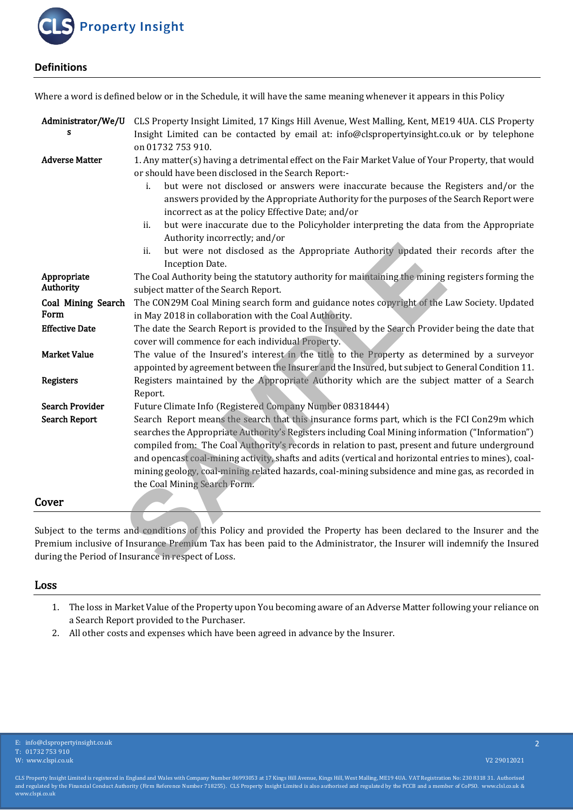

### **Definitions**

Where a word is defined below or in the Schedule, it will have the same meaning whenever it appears in this Policy

| Administrator/We/U<br>s           | CLS Property Insight Limited, 17 Kings Hill Avenue, West Malling, Kent, ME19 4UA. CLS Property<br>Insight Limited can be contacted by email at: info@clspropertyinsight.co.uk or by telephone<br>on 01732 753 910.                                                                                                                                                                                                                                                                                                                               |
|-----------------------------------|--------------------------------------------------------------------------------------------------------------------------------------------------------------------------------------------------------------------------------------------------------------------------------------------------------------------------------------------------------------------------------------------------------------------------------------------------------------------------------------------------------------------------------------------------|
| <b>Adverse Matter</b>             | 1. Any matter(s) having a detrimental effect on the Fair Market Value of Your Property, that would                                                                                                                                                                                                                                                                                                                                                                                                                                               |
|                                   | or should have been disclosed in the Search Report:-<br>but were not disclosed or answers were inaccurate because the Registers and/or the<br>i.<br>answers provided by the Appropriate Authority for the purposes of the Search Report were<br>incorrect as at the policy Effective Date; and/or                                                                                                                                                                                                                                                |
|                                   | but were inaccurate due to the Policyholder interpreting the data from the Appropriate<br>ii.<br>Authority incorrectly; and/or                                                                                                                                                                                                                                                                                                                                                                                                                   |
|                                   | but were not disclosed as the Appropriate Authority updated their records after the<br>ii.<br>Inception Date.                                                                                                                                                                                                                                                                                                                                                                                                                                    |
| Appropriate<br>Authority          | The Coal Authority being the statutory authority for maintaining the mining registers forming the<br>subject matter of the Search Report.                                                                                                                                                                                                                                                                                                                                                                                                        |
| <b>Coal Mining Search</b><br>Form | The CON29M Coal Mining search form and guidance notes copyright of the Law Society. Updated<br>in May 2018 in collaboration with the Coal Authority.                                                                                                                                                                                                                                                                                                                                                                                             |
| <b>Effective Date</b>             | The date the Search Report is provided to the Insured by the Search Provider being the date that<br>cover will commence for each individual Property.                                                                                                                                                                                                                                                                                                                                                                                            |
| <b>Market Value</b>               | The value of the Insured's interest in the title to the Property as determined by a surveyor<br>appointed by agreement between the Insurer and the Insured, but subject to General Condition 11.                                                                                                                                                                                                                                                                                                                                                 |
| <b>Registers</b>                  | Registers maintained by the Appropriate Authority which are the subject matter of a Search<br>Report.                                                                                                                                                                                                                                                                                                                                                                                                                                            |
| <b>Search Provider</b>            | Future Climate Info (Registered Company Number 08318444)                                                                                                                                                                                                                                                                                                                                                                                                                                                                                         |
| <b>Search Report</b>              | Search Report means the search that this insurance forms part, which is the FCI Con29m which<br>searches the Appropriate Authority's Registers including Coal Mining information ("Information")<br>compiled from: The Coal Authority's records in relation to past, present and future underground<br>and opencast coal-mining activity, shafts and adits (vertical and horizontal entries to mines), coal-<br>mining geology, coal-mining related hazards, coal-mining subsidence and mine gas, as recorded in<br>the Coal Mining Search Form. |
| over:                             |                                                                                                                                                                                                                                                                                                                                                                                                                                                                                                                                                  |
|                                   | ubject to the terms and conditions of this Policy and provided the Property has been declared to the Insurer and the<br>remium inclusive of Insurance Premium Tax has been paid to the Administrator, the Insurer will indemnify the Insured<br>luring the Period of Insurance in respect of Loss.                                                                                                                                                                                                                                               |

#### **Cover**

#### **Loss**

- 1. The loss in Market Value of the Property upon You becoming aware of an Adverse Matter following your reliance on a Search Report provided to the Purchaser.
- 2. All other costs and expenses which have been agreed in advance by the Insurer.

2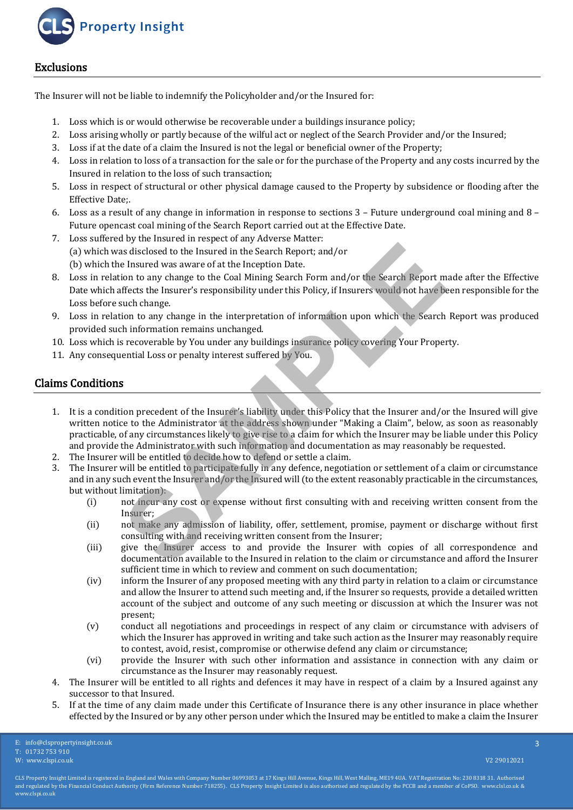

## **Exclusions**

The Insurer will not be liable to indemnify the Policyholder and/or the Insured for:

- 1. Loss which is or would otherwise be recoverable under a buildings insurance policy;
- 2. Loss arising wholly or partly because of the wilful act or neglect of the Search Provider and/or the Insured;
- 3. Loss if at the date of a claim the Insured is not the legal or beneficial owner of the Property;
- 4. Loss in relation to loss of a transaction for the sale or for the purchase of the Property and any costs incurred by the Insured in relation to the loss of such transaction;
- 5. Loss in respect of structural or other physical damage caused to the Property by subsidence or flooding after the Effective Date;.
- 6. Loss as a result of any change in information in response to sections 3 Future underground coal mining and 8 Future opencast coal mining of the Search Report carried out at the Effective Date.
- 7. Loss suffered by the Insured in respect of any Adverse Matter:
	- (a) which was disclosed to the Insured in the Search Report; and/or
	- (b) which the Insured was aware of at the Inception Date.
- 8. Loss in relation to any change to the Coal Mining Search Form and/or the Search Report made after the Effective Date which affects the Insurer's responsibility under this Policy, if Insurers would not have been responsible for the Loss before such change.
- 9. Loss in relation to any change in the interpretation of information upon which the Search Report was produced provided such information remains unchanged.
- 10. Loss which is recoverable by You under any buildings insurance policy covering Your Property.
- 11. Any consequential Loss or penalty interest suffered by You.

# **Claims Conditions**

- 1. It is a condition precedent of the Insurer's liability under this Policy that the Insurer and/or the Insured will give written notice to the Administrator at the address shown under "Making a Claim", below, as soon as reasonably practicable, of any circumstances likely to give rise to a claim for which the Insurer may be liable under this Policy and provide the Administrator with such information and documentation as may reasonably be requested. (a) which was dischosed to the hasterd by the Search Report; and/or<br>
(by which the Insured vas stowers of at the Inception Rate, Chronomati/or the Insured may be entitled to Figure 1.0 and<br>
On the Insure of the Insure of t
- 2. The Insurer will be entitled to decide how to defend or settle a claim.
- 3. The Insurer will be entitled to participate fully in any defence, negotiation or settlement of a claim or circumstance and in any such event the Insurer and/or the Insured will (to the extent reasonably practicable in the circumstances, but without limitation):
	- (i) not incur any cost or expense without first consulting with and receiving written consent from the Insurer;
	- (ii) not make any admission of liability, offer, settlement, promise, payment or discharge without first consulting with and receiving written consent from the Insurer;
	- (iii) give the Insurer access to and provide the Insurer with copies of all correspondence and documentation available to the Insured in relation to the claim or circumstance and afford the Insurer sufficient time in which to review and comment on such documentation;
	- (iv) inform the Insurer of any proposed meeting with any third party in relation to a claim or circumstance and allow the Insurer to attend such meeting and, if the Insurer so requests, provide a detailed written account of the subject and outcome of any such meeting or discussion at which the Insurer was not present;
	- (v) conduct all negotiations and proceedings in respect of any claim or circumstance with advisers of which the Insurer has approved in writing and take such action as the Insurer may reasonably require to contest, avoid, resist, compromise or otherwise defend any claim or circumstance;
	- (vi) provide the Insurer with such other information and assistance in connection with any claim or circumstance as the Insurer may reasonably request.
- 4. The Insurer will be entitled to all rights and defences it may have in respect of a claim by a Insured against any successor to that Insured.
- 5. If at the time of any claim made under this Certificate of Insurance there is any other insurance in place whether

E: info@clspropertyinsight.co.uk T: 01732 753 910 W: www.clspi.co.uk V2 29012021

 $\overline{a}$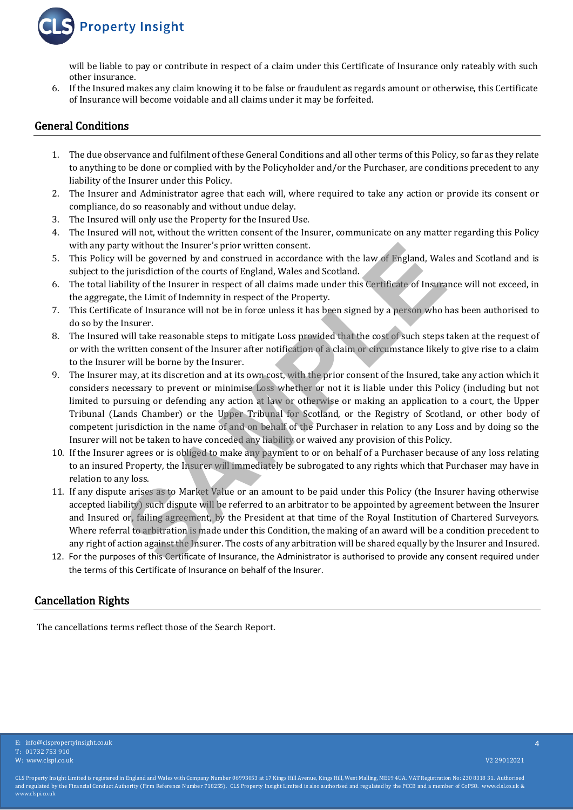

will be liable to pay or contribute in respect of a claim under this Certificate of Insurance only rateably with such other insurance.

6. If the Insured makes any claim knowing it to be false or fraudulent as regards amount or otherwise, this Certificate of Insurance will become voidable and all claims under it may be forfeited.

### **General Conditions**

- 1. The due observance and fulfilment of these General Conditions and all other terms of this Policy, so far as they relate to anything to be done or complied with by the Policyholder and/or the Purchaser, are conditions precedent to any liability of the Insurer under this Policy.
- 2. The Insurer and Administrator agree that each will, where required to take any action or provide its consent or compliance, do so reasonably and without undue delay.
- 3. The Insured will only use the Property for the Insured Use.
- 4. The Insured will not, without the written consent of the Insurer, communicate on any matter regarding this Policy with any party without the Insurer's prior written consent.
- 5. This Policy will be governed by and construed in accordance with the law of England, Wales and Scotland and is subject to the jurisdiction of the courts of England, Wales and Scotland.
- 6. The total liability of the Insurer in respect of all claims made under this Certificate of Insurance will not exceed, in the aggregate, the Limit of Indemnity in respect of the Property.
- 7. This Certificate of Insurance will not be in force unless it has been signed by a person who has been authorised to do so by the Insurer.
- 8. The Insured will take reasonable steps to mitigate Loss provided that the cost of such steps taken at the request of or with the written consent of the Insurer after notification of a claim or circumstance likely to give rise to a claim to the Insurer will be borne by the Insurer.
- 9. The Insurer may, at its discretion and at its own cost, with the prior consent of the Insured, take any action which it considers necessary to prevent or minimise Loss whether or not it is liable under this Policy (including but not limited to pursuing or defending any action at law or otherwise or making an application to a court, the Upper Tribunal (Lands Chamber) or the Upper Tribunal for Scotland, or the Registry of Scotland, or other body of competent jurisdiction in the name of and on behalf of the Purchaser in relation to any Loss and by doing so the Insurer will not be taken to have conceded any liability or waived any provision of this Policy. ity without the Insurer's prior written consent.<br>
Will be governed by and constructed in accordance with the law of England, Wale<br>
illity of the insurer in respect of all claims made under this Certificate of Insura<br>
e jur
- 10. If the Insurer agrees or is obliged to make any payment to or on behalf of a Purchaser because of any loss relating to an insured Property, the Insurer will immediately be subrogated to any rights which that Purchaser may have in relation to any loss.
- 11. If any dispute arises as to Market Value or an amount to be paid under this Policy (the Insurer having otherwise accepted liability) such dispute will be referred to an arbitrator to be appointed by agreement between the Insurer and Insured or, failing agreement, by the President at that time of the Royal Institution of Chartered Surveyors. Where referral to arbitration is made under this Condition, the making of an award will be a condition precedent to any right of action against the Insurer. The costs of any arbitration will be shared equally by the Insurer and Insured.
- 12. For the purposes of this Certificate of Insurance, the Administrator is authorised to provide any consent required under the terms of this Certificate of Insurance on behalf of the Insurer.

# **Cancellation Rights**

The cancellations terms reflect those of the Search Report.

 $\overline{A}$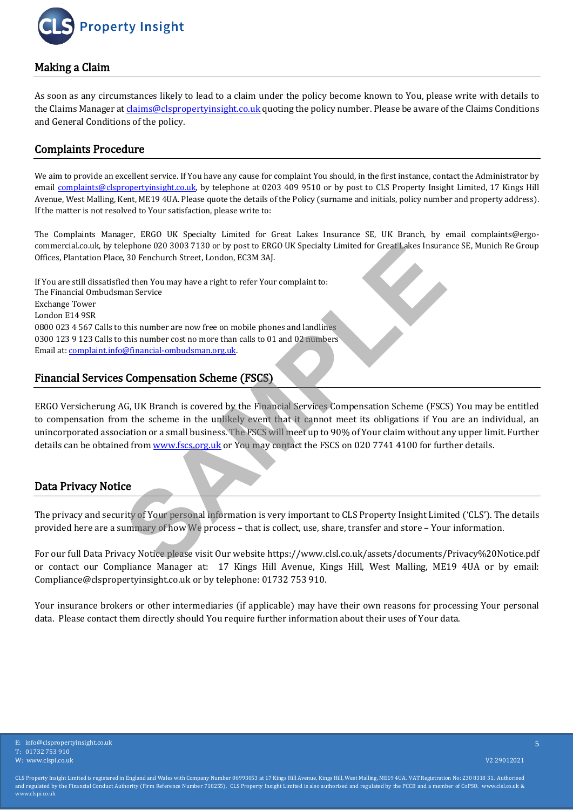

# **Making a Claim**

As soon as any circumstances likely to lead to a claim under the policy become known to You, please write with details to theClaims Managerat [claims@clspropertyinsight.co.uk](mailto:claims@clsrs.co.uk)quoting the policy number. Please be aware of the Claims Conditions and General Conditions of the policy.

### **Complaints Procedure**

We aim to provide an excellent service. If You have any cause for complaint You should, in the first instance, contact the Administrator by email [complaints@clspropertyinsight.co.uk,](mailto:complaints@clsrs.co.uk) by telephone at 0203 409 9510 or by post to CLS Property Insight Limited, 17 Kings Hill Avenue, West Malling, Kent, ME19 4UA. Please quote the details of the Policy (surname and initials, policy number and property address). If the matter is not resolved to Your satisfaction, please write to:

The Complaints Manager, ERGO UK Specialty Limited for Great Lakes Insurance SE, UK Branch, by email complaints@ergocommercial.co.uk, by telephone 020 3003 7130 or by post to ERGO UK Specialty Limited for Great Lakes Insurance SE, Munich Re Group Offices, Plantation Place, 30 Fenchurch Street, London, EC3M 3AJ.

If You are still dissatisfied then You may have a right to refer Your complaint to: The Financial Ombudsman Service Exchange Tower London E14 9SR 0800 023 4 567 Calls to this number are now free on mobile phones and landlines 0300 123 9 123 Calls to this number cost no more than calls to 01 and 02 numbers Email at: [complaint.info@financial-ombudsman.org.uk](mailto:complaint.info@financial-ombudsman.org.uk). **SPECIES 1998 7130 or by post to ERGO UK Specialty Limited for Great Lakes Insura<br>
Fig. 30 Fenchurch Street, London, EC3M 3AJ.<br>
Hed then You may have a right to refer Your complaint to:<br>
and Service<br>
this number are now fr** 

### **Financial Services Compensation Scheme (FSCS)**

ERGO Versicherung AG, UK Branch is covered by the Financial Services Compensation Scheme (FSCS) You may be entitled to compensation from the scheme in the unlikely event that it cannot meet its obligations if You are an individual, an unincorporated association or a small business. The FSCS will meet up to 90% of Your claim without any upper limit. Further details can be obtained from www.fscs.org.uk or You may contact the FSCS on 020 7741 4100 for further details.

# **Data Privacy Notice**

The privacy and security of Your personal information is very important to CLS Property Insight Limited ('CLS'). The details provided here are a summary of how We process – that is collect, use, share, transfer and store – Your information.

For our full Data Privacy Notice please visit Our website https://www.clsl.co.uk/assets/documents/Privacy%20Notice.pdf or contact our Compliance Manager at: 17 Kings Hill Avenue, Kings Hill, West Malling, ME19 4UA or by email: Compliance@clspropertyinsight.co.uk or by telephone: 01732 753 910.

Your insurance brokers or other intermediaries (if applicable) may have their own reasons for processing Your personal data. Please contact them directly should You require further information about their uses of Your data.

5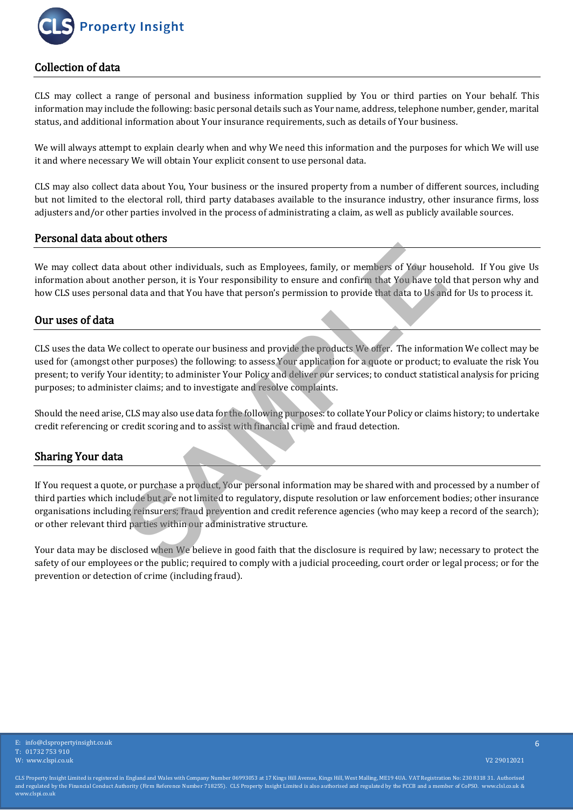

# **Collection of data**

CLS may collect a range of personal and business information supplied by You or third parties on Your behalf. This information may include the following: basic personal details such as Your name, address, telephone number, gender, marital status, and additional information about Your insurance requirements, such as details of Your business.

We will always attempt to explain clearly when and why We need this information and the purposes for which We will use it and where necessary We will obtain Your explicit consent to use personal data.

CLS may also collect data about You, Your business or the insured property from a number of different sources, including but not limited to the electoral roll, third party databases available to the insurance industry, other insurance firms, loss adjusters and/or other parties involved in the process of administrating a claim, as well as publicly available sources.

#### **Personal data about others**

We may collect data about other individuals, such as Employees, family, or members of Your household. If You give Us information about another person, it is Your responsibility to ensure and confirm that You have told that person why and how CLS uses personal data and that You have that person's permission to provide that data to Us and for Us to process it.

# **Our uses of data**

CLS uses the data We collect to operate our business and provide the products We offer. The information We collect may be used for (amongst other purposes) the following: to assess Your application for a quote or product; to evaluate the risk You present; to verify Your identity; to administer Your Policy and deliver our services; to conduct statistical analysis for pricing purposes; to administer claims; and to investigate and resolve complaints. about other individuals, such as Employees, family, or members of Your house<br>heat energy, it is Your responsibility to ensure and confirm that You have tolal data and that You have that person's permission to provide that

Should the need arise, CLS may also use data for the following purposes: to collate Your Policy or claims history; to undertake credit referencing or credit scoring and to assist with financial crime and fraud detection.

# **Sharing Your data**

If You request a quote, or purchase a product, Your personal information may be shared with and processed by a number of third parties which include but are not limited to regulatory, dispute resolution or law enforcement bodies; other insurance organisations including reinsurers; fraud prevention and credit reference agencies (who may keep a record of the search); or other relevant third parties within our administrative structure.

Your data may be disclosed when We believe in good faith that the disclosure is required by law; necessary to protect the safety of our employees or the public; required to comply with a judicial proceeding, court order or legal process; or for the prevention or detection of crime (including fraud).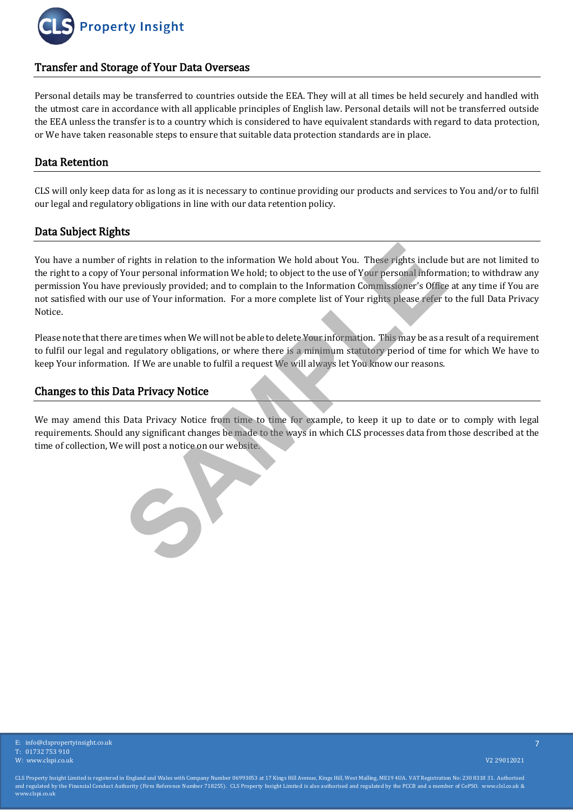

# **Transfer and Storage of Your Data Overseas**

Personal details may be transferred to countries outside the EEA. They will at all times be held securely and handled with the utmost care in accordance with all applicable principles of English law. Personal details will not be transferred outside the EEA unless the transfer is to a country which is considered to have equivalent standards with regard to data protection, or We have taken reasonable steps to ensure that suitable data protection standards are in place.

# **Data Retention**

CLS will only keep data for as long as it is necessary to continue providing our products and services to You and/or to fulfil our legal and regulatory obligations in line with our data retention policy.

# **Data Subject Rights**

You have a number of rights in relation to the information We hold about You. These rights include but are not limited to the right to a copy of Your personal information We hold; to object to the use of Your personal information; to withdraw any permission You have previously provided; and to complain to the Information Commissioner's Office at any time if You are not satisfied with our use of Your information. For a more complete list of Your rights please refer to the full Data Privacy Notice. of rights in relation to the information We hold about You. These rights include<br>Your personal information We hold; to object to the use of Your personal inform<br>previously provided; and to complain to the Information Commi

Please note that there are times when We will not be able to delete Your information. This may be as a result of a requirement to fulfil our legal and regulatory obligations, or where there is a minimum statutory period of time for which We have to keep Your information. If We are unable to fulfil a request We will always let You know our reasons.

### **Changes to this Data Privacy Notice**

We may amend this Data Privacy Notice from time to time for example, to keep it up to date or to comply with legal requirements. Should any significant changes be made to the ways in which CLS processes data from those described at the time of collection, We will post a notice on our website.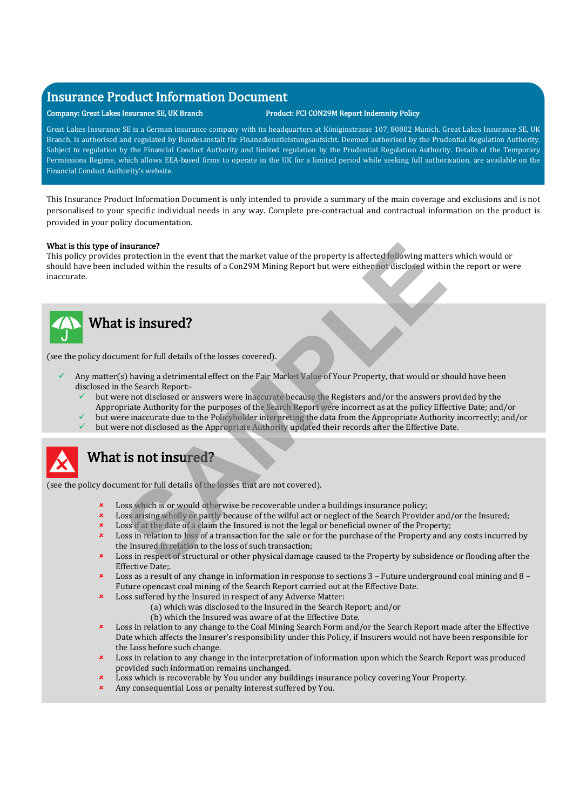# **Insurance Product Information Document**

#### **Company: Great Lakes Insurance SE, UK Branch Product: FCI CON29M Report Indemnity Policy**

Great Lakes Insurance SE is a German insurance company with its headquarters at Königinstrasse 107, 80802 Munich. Great Lakes Insurance SE, UK Branch, is authorised and regulated by Bundesanstalt für Finanzdienstleistungsaufsicht. Deemed authorised by the Prudential Regulation Authority. Subject to regulation by the Financial Conduct Authority and limited regulation by the Prudential Regulation Authority. Details of the Temporary Permissions Regime, which allows EEA-based firms to operate in the UK for a limited period while seeking full authorisation, are available on the Financial Conduct Authority's website.

This Insurance Product Information Document is only intended to provide a summary of the main coverage and exclusions and is not personalised to your specific individual needs in any way. Complete pre-contractual and contractual information on the product is provided in your policy documentation.

#### **What is this type of insurance?**

This policy provides protection in the event that the market value of the property is affected following matters which would or should have been included within the results of a Con29M Mining Report but were either not disclosed within the report or were inaccurate. **Insurance?**<br>
protection in the event that the market value of the property is affected following matter<br>
cluded within the results of a Con29M Mining Report but were either hor disclosed withi<br> **SAMPLE CON CONSET CONSET C** 



# **What is insured?**

(see the policy document for full details of the losses covered).

- Any matter(s) having a detrimental effect on the Fair Market Value of Your Property, that would or should have been disclosed in the Search Report:
	- but were not disclosed or answers were inaccurate because the Registers and/or the answers provided by the
	- Appropriate Authority for the purposes of the Search Report were incorrect as at the policy Effective Date; and/or
	- but were inaccurate due to the Policyholder interpreting the data from the Appropriate Authority incorrectly; and/or but were not disclosed as the Appropriate Authority updated their records after the Effective Date.



# **What is not insured?**

(see the policy document for full details of the losses that are not covered).

- Loss which is or would otherwise be recoverable under a buildings insurance policy;
- Loss arising wholly or partly because of the wilful act or neglect of the Search Provider and/or the Insured;
- **EXECUTE:** Loss if at the date of a claim the Insured is not the legal or beneficial owner of the Property;
- **EXECUTE:** Loss in relation to loss of a transaction for the sale or for the purchase of the Property and any costs incurred by the Insured in relation to the loss of such transaction;
- Loss in respect of structural or other physical damage caused to the Property by subsidence or flooding after the Effective Date;.
- Loss as a result of any change in information in response to sections 3 Future underground coal mining and 8 Future opencast coal mining of the Search Report carried out at the Effective Date.
- Loss suffered by the Insured in respect of any Adverse Matter:
	- (a) which was disclosed to the Insured in the Search Report; and/or
	- (b) which the Insured was aware of at the Effective Date.
- **EXECT** Loss in relation to any change to the Coal Mining Search Form and/or the Search Report made after the Effective Date which affects the Insurer's responsibility under this Policy, if Insurers would not have been responsible for the Loss before such change.
- Loss in relation to any change in the interpretation of information upon which the Search Report was produced provided such information remains unchanged.
- Loss which is recoverable by You under any buildings insurance policy covering Your Property.
- Any consequential Loss or penalty interest suffered by You.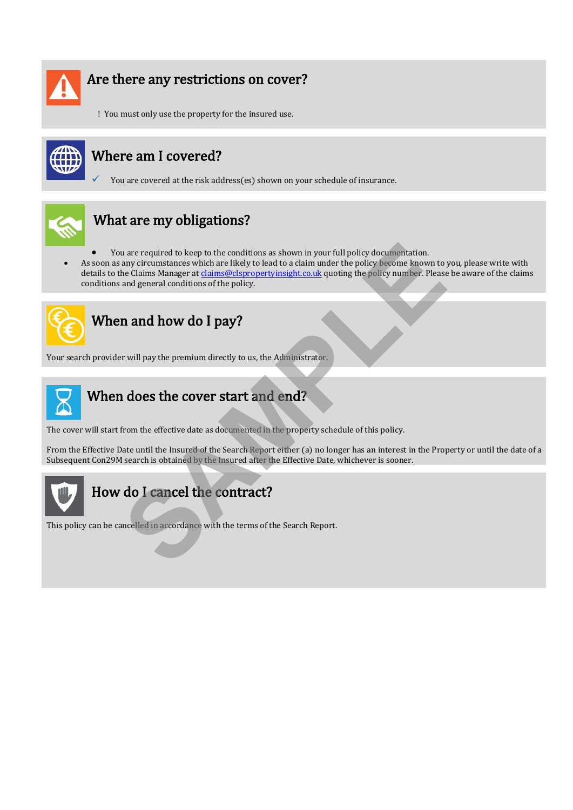

# **Are there any restrictions on cover?**

! You must only use the property for the insured use.



# **Where am I covered?**

You are covered at the risk address(es) shown on your schedule of insurance.



# **What are my obligations?**

- You are required to keep to the conditions as shown in your full policy documentation.
- As soon as any circumstances which are likely to lead to a claim under the policy become known to you, please write with details to theClaims Managerat claims@clspropertyinsight.co.ukquoting the policy number. Please be aware of the claims conditions and general conditions of the policy. **Example 18 and Secure 18 and Secure 19 and Secure 18 and Secure 18 and Secure 18 and Secure 18 and Secure 18 and Secure 18 and Secure 18 and Secure 18 and Secure 18 and Secure 18 and Secure 18 and Secure 18 and Secure 18**



# **When and how do I pay?**

Your search provider will pay the premium directly to us, the Administrator.



# **When does the cover start and end?**

The cover will start from the effective date as documented in the property schedule of this policy.

From the Effective Date until the Insured of the Search Report either (a) no longer has an interest in the Property or until the date of a Subsequent Con29M search is obtained by the Insured after the Effective Date, whichever is sooner.



# **How do I cancel the contract?**

This policy can be cancelled in accordance with the terms of the Search Report.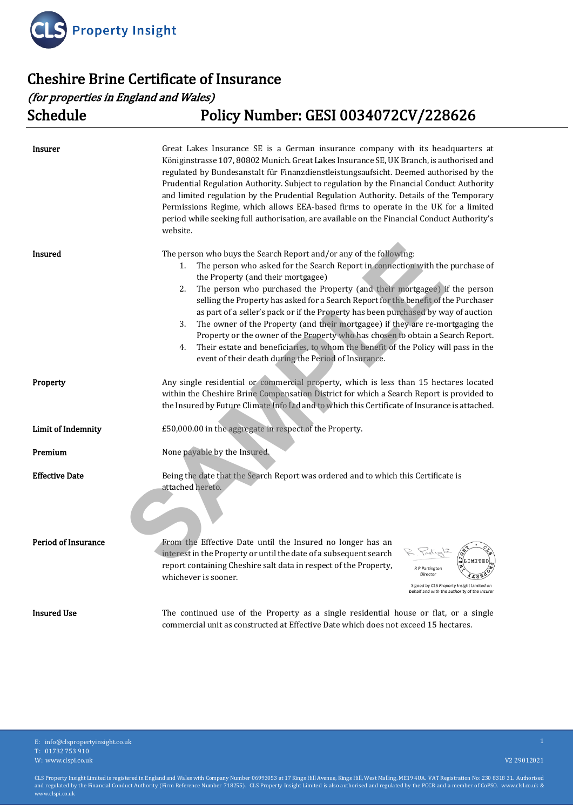

# **Cheshire Brine Certificate of Insurance** *(for properties in England and Wales)*  **Schedule Policy Number: GESI 0034072CV/228626**

| <b>Insurer</b>        | Great Lakes Insurance SE is a German insurance company with its headquarters at<br>Königinstrasse 107, 80802 Munich. Great Lakes Insurance SE, UK Branch, is authorised and<br>regulated by Bundesanstalt für Finanzdienstleistungsaufsicht. Deemed authorised by the<br>Prudential Regulation Authority. Subject to regulation by the Financial Conduct Authority<br>and limited regulation by the Prudential Regulation Authority. Details of the Temporary<br>Permissions Regime, which allows EEA-based firms to operate in the UK for a limited<br>period while seeking full authorisation, are available on the Financial Conduct Authority's<br>website.                                                                                                                               |
|-----------------------|-----------------------------------------------------------------------------------------------------------------------------------------------------------------------------------------------------------------------------------------------------------------------------------------------------------------------------------------------------------------------------------------------------------------------------------------------------------------------------------------------------------------------------------------------------------------------------------------------------------------------------------------------------------------------------------------------------------------------------------------------------------------------------------------------|
| Insured               | The person who buys the Search Report and/or any of the following:<br>The person who asked for the Search Report in connection with the purchase of<br>1.<br>the Property (and their mortgagee)<br>The person who purchased the Property (and their mortgagee) if the person<br>2.<br>selling the Property has asked for a Search Report for the benefit of the Purchaser<br>as part of a seller's pack or if the Property has been purchased by way of auction<br>The owner of the Property (and their mortgagee) if they are re-mortgaging the<br>3.<br>Property or the owner of the Property who has chosen to obtain a Search Report.<br>Their estate and beneficiaries, to whom the benefit of the Policy will pass in the<br>4.<br>event of their death during the Period of Insurance. |
| Property              | Any single residential or commercial property, which is less than 15 hectares located<br>within the Cheshire Brine Compensation District for which a Search Report is provided to<br>the Insured by Future Climate Info Ltd and to which this Certificate of Insurance is attached.                                                                                                                                                                                                                                                                                                                                                                                                                                                                                                           |
| Limit of Indemnity    | £50,000.00 in the aggregate in respect of the Property.                                                                                                                                                                                                                                                                                                                                                                                                                                                                                                                                                                                                                                                                                                                                       |
| Premium               | None payable by the Insured.                                                                                                                                                                                                                                                                                                                                                                                                                                                                                                                                                                                                                                                                                                                                                                  |
| <b>Effective Date</b> | Being the date that the Search Report was ordered and to which this Certificate is<br>attached hereto.                                                                                                                                                                                                                                                                                                                                                                                                                                                                                                                                                                                                                                                                                        |
| Period of Insurance   | From the Effective Date until the Insured no longer has an<br>interest in the Property or until the date of a subsequent search<br>LIMITED<br>report containing Cheshire salt data in respect of the Property,<br>R P Partington<br>Director<br>whichever is sooner.<br>Signed by CLS Property Insight Limited on<br>behalf and with the authority of the Insurer                                                                                                                                                                                                                                                                                                                                                                                                                             |
| <b>Insured Use</b>    | The continued use of the Property as a single residential house or flat, or a single<br>commercial unit as constructed at Effective Date which does not exceed 15 hectares.                                                                                                                                                                                                                                                                                                                                                                                                                                                                                                                                                                                                                   |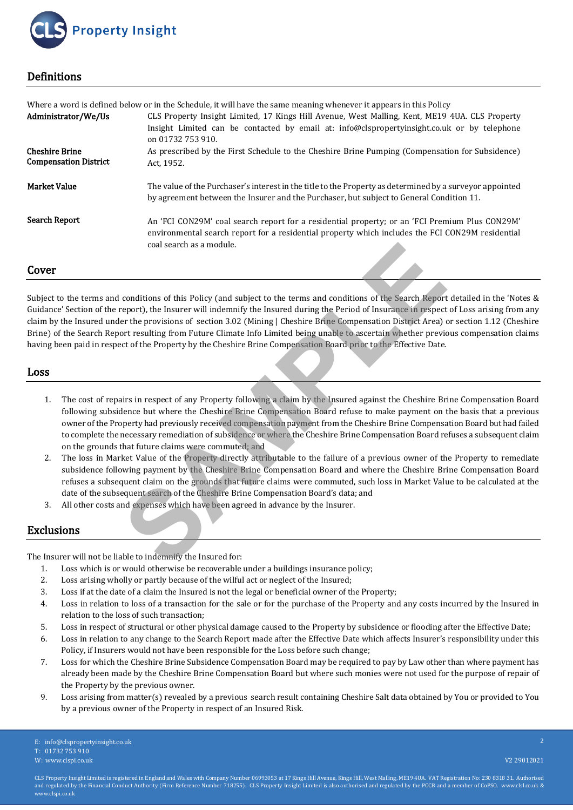

# **Definitions**

|                                                       | Where a word is defined below or in the Schedule, it will have the same meaning whenever it appears in this Policy                                                                                                             |
|-------------------------------------------------------|--------------------------------------------------------------------------------------------------------------------------------------------------------------------------------------------------------------------------------|
| Administrator/We/Us                                   | CLS Property Insight Limited, 17 Kings Hill Avenue, West Malling, Kent, ME19 4UA. CLS Property<br>Insight Limited can be contacted by email at: info@clspropertyinsight.co.uk or by telephone<br>on 01732 753 910.             |
| <b>Cheshire Brine</b><br><b>Compensation District</b> | As prescribed by the First Schedule to the Cheshire Brine Pumping (Compensation for Subsidence)<br>Act. 1952.                                                                                                                  |
| <b>Market Value</b>                                   | The value of the Purchaser's interest in the title to the Property as determined by a surveyor appointed<br>by agreement between the Insurer and the Purchaser, but subject to General Condition 11.                           |
| <b>Search Report</b>                                  | An 'FCI CON29M' coal search report for a residential property; or an 'FCI Premium Plus CON29M'<br>environmental search report for a residential property which includes the FCI CON29M residential<br>coal search as a module. |
| Cover                                                 |                                                                                                                                                                                                                                |

Subject to the terms and conditions of this Policy (and subject to the terms and conditions of the Search Report detailed in the 'Notes & Guidance' Section of the report), the Insurer will indemnify the Insured during the Period of Insurance in respect of Loss arising from any claim by the Insured under the provisions of section 3.02 (Mining | Cheshire Brine Compensation District Area) or section 1.12 (Cheshire Brine) of the Search Report resulting from Future Climate Info Limited being unable to ascertain whether previous compensation claims having been paid in respect of the Property by the Cheshire Brine Compensation Board prior to the Effective Date. coal search as a module.<br>
coal search as a module.<br>
conditions of this Policy (and subject to the terms and conditions of the Search Report<br>
repertyr); the Insurer will indemnify the Insured during the Period of Insurance

#### **Loss**

- 1. The cost of repairs in respect of any Property following a claim by the Insured against the Cheshire Brine Compensation Board following subsidence but where the Cheshire Brine Compensation Board refuse to make payment on the basis that a previous owner of the Property had previously received compensation payment from the Cheshire Brine Compensation Board but had failed to complete the necessary remediation of subsidence or where the Cheshire Brine Compensation Board refuses a subsequent claim on the grounds that future claims were commuted; and
- 2. The loss in Market Value of the Property directly attributable to the failure of a previous owner of the Property to remediate subsidence following payment by the Cheshire Brine Compensation Board and where the Cheshire Brine Compensation Board refuses a subsequent claim on the grounds that future claims were commuted, such loss in Market Value to be calculated at the date of the subsequent search of the Cheshire Brine Compensation Board's data; and
- 3. All other costs and expenses which have been agreed in advance by the Insurer.

#### **Exclusions**

The Insurer will not be liable to indemnify the Insured for:

- 1. Loss which is or would otherwise be recoverable under a buildings insurance policy;
- 2. Loss arising wholly or partly because of the wilful act or neglect of the Insured;
- 3. Loss if at the date of a claim the Insured is not the legal or beneficial owner of the Property;
- 4. Loss in relation to loss of a transaction for the sale or for the purchase of the Property and any costs incurred by the Insured in relation to the loss of such transaction;
- 5. Loss in respect of structural or other physical damage caused to the Property by subsidence or flooding after the Effective Date;
- 6. Loss in relation to any change to the Search Report made after the Effective Date which affects Insurer's responsibility under this Policy, if Insurers would not have been responsible for the Loss before such change;
- 7. Loss for which the Cheshire Brine Subsidence Compensation Board may be required to pay by Law other than where payment has already been made by the Cheshire Brine Compensation Board but where such monies were not used for the purpose of repair of the Property by the previous owner.
- 9. Loss arising from matter(s) revealed by a previous search result containing Cheshire Salt data obtained by You or provided to You by a previous owner of the Property in respect of an Insured Risk.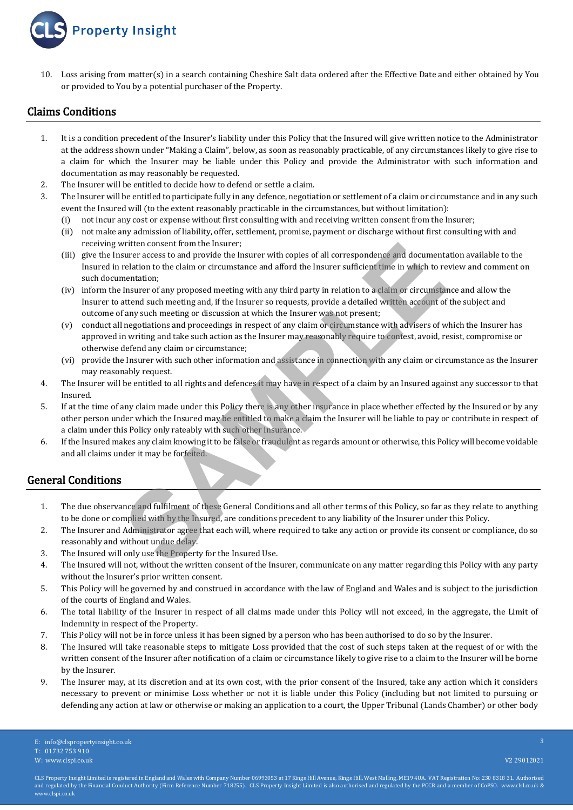

10. Loss arising from matter(s) in a search containing Cheshire Salt data ordered after the Effective Date and either obtained by You or provided to You by a potential purchaser of the Property.

### **Claims Conditions**

- 1. It is a condition precedent of the Insurer's liability under this Policy that the Insured will give written notice to the Administrator at the address shown under "Making a Claim", below, as soon as reasonably practicable, of any circumstances likely to give rise to a claim for which the Insurer may be liable under this Policy and provide the Administrator with such information and documentation as may reasonably be requested.
- 2. The Insurer will be entitled to decide how to defend or settle a claim.
- 3. The Insurer will be entitled to participate fully in any defence, negotiation or settlement of a claim or circumstance and in any such event the Insured will (to the extent reasonably practicable in the circumstances, but without limitation):
	- (i) not incur any cost or expense without first consulting with and receiving written consent from the Insurer;
	- (ii) not make any admission of liability, offer, settlement, promise, payment or discharge without first consulting with and receiving written consent from the Insurer;
	- (iii) give the Insurer access to and provide the Insurer with copies of all correspondence and documentation available to the Insured in relation to the claim or circumstance and afford the Insurer sufficient time in which to review and comment on such documentation;
	- (iv) inform the Insurer of any proposed meeting with any third party in relation to a claim or circumstance and allow the Insurer to attend such meeting and, if the Insurer so requests, provide a detailed written account of the subject and outcome of any such meeting or discussion at which the Insurer was not present; written consent from the Insurer;<br>
	sturent consent from the Insurer with copies of all correspondence and document<br>
	relation to the claim or circumstance and afford the Insurer sufficient time in which to re<br>
	relation to t
	- (v) conduct all negotiations and proceedings in respect of any claim or circumstance with advisers of which the Insurer has approved in writing and take such action as the Insurer may reasonably require to contest, avoid, resist, compromise or otherwise defend any claim or circumstance;
	- (vi) provide the Insurer with such other information and assistance in connection with any claim or circumstance as the Insurer may reasonably request.
- 4. The Insurer will be entitled to all rights and defences it may have in respect of a claim by an Insured against any successor to that Insured.
- 5. If at the time of any claim made under this Policy there is any other insurance in place whether effected by the Insured or by any other person under which the Insured may be entitled to make a claim the Insurer will be liable to pay or contribute in respect of a claim under this Policy only rateably with such other insurance.
- 6. If the Insured makes any claim knowing it to be false or fraudulent as regards amount or otherwise, this Policy will become voidable and all claims under it may be forfeited.

# **General Conditions**

- 1. The due observance and fulfilment of these General Conditions and all other terms of this Policy, so far as they relate to anything to be done or complied with by the Insured, are conditions precedent to any liability of the Insurer under this Policy.
- 2. The Insurer and Administrator agree that each will, where required to take any action or provide its consent or compliance, do so reasonably and without undue delay.
- 3. The Insured will only use the Property for the Insured Use.
- 4. The Insured will not, without the written consent of the Insurer, communicate on any matter regarding this Policy with any party without the Insurer's prior written consent.
- 5. This Policy will be governed by and construed in accordance with the law of England and Wales and is subject to the jurisdiction of the courts of England and Wales.
- 6. The total liability of the Insurer in respect of all claims made under this Policy will not exceed, in the aggregate, the Limit of Indemnity in respect of the Property.
- 7. This Policy will not be in force unless it has been signed by a person who has been authorised to do so by the Insurer.
- 8. The Insured will take reasonable steps to mitigate Loss provided that the cost of such steps taken at the request of or with the written consent of the Insurer after notification of a claim or circumstance likely to give rise to a claim to the Insurer will be borne by the Insurer.
- 9. The Insurer may, at its discretion and at its own cost, with the prior consent of the Insured, take any action which it considers necessary to prevent or minimise Loss whether or not it is liable under this Policy (including but not limited to pursuing or defending any action at law or otherwise or making an application to a court, the Upper Tribunal (Lands Chamber) or other body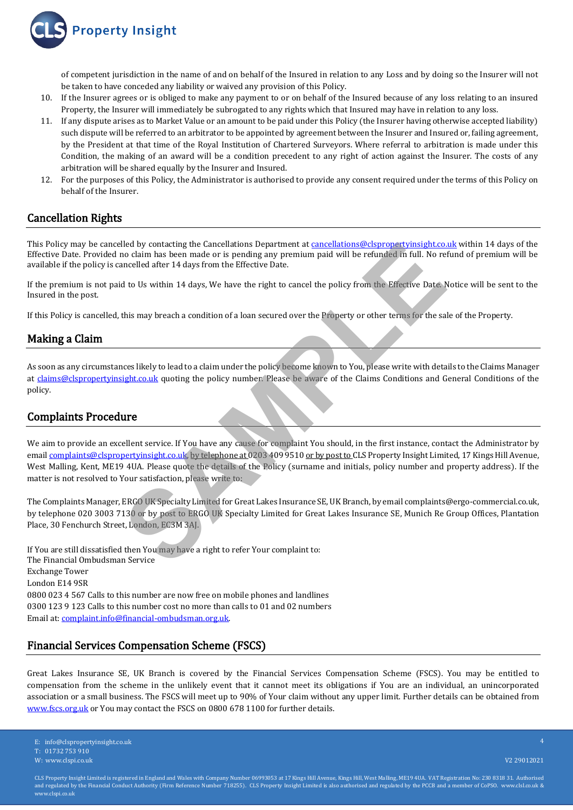

of competent jurisdiction in the name of and on behalf of the Insured in relation to any Loss and by doing so the Insurer will not be taken to have conceded any liability or waived any provision of this Policy.

- 10. If the Insurer agrees or is obliged to make any payment to or on behalf of the Insured because of any loss relating to an insured Property, the Insurer will immediately be subrogated to any rights which that Insured may have in relation to any loss.
- 11. If any dispute arises as to Market Value or an amount to be paid under this Policy (the Insurer having otherwise accepted liability) such dispute will be referred to an arbitrator to be appointed by agreement between the Insurer and Insured or, failing agreement, by the President at that time of the Royal Institution of Chartered Surveyors. Where referral to arbitration is made under this Condition, the making of an award will be a condition precedent to any right of action against the Insurer. The costs of any arbitration will be shared equally by the Insurer and Insured.
- 12. For the purposes of this Policy, the Administrator is authorised to provide any consent required under the terms of this Policy on behalf of the Insurer.

# **Cancellation Rights**

This Policy may be cancelled by contacting the Cancellations Department at [cancellations@clspropertyinsight.co.uk](mailto:cancellations@clsrs.co.uk) within 14 days of the Effective Date. Provided no claim has been made or is pending any premium paid will be refunded in full. No refund of premium will be available if the policy is cancelled after 14 days from the Effective Date.

If the premium is not paid to Us within 14 days, We have the right to cancel the policy from the Effective Date. Notice will be sent to the Insured in the post.

If this Policy is cancelled, this may breach a condition of a loan secured over the Property or other terms for the sale of the Property.

#### **Making a Claim**

As soon as any circumstances likely to lead to a claim under the policy become known to You, please write with details to theClaims Manager at [claims@clspropertyinsight.co.uk](mailto:claims@clsrs.co.uk)quoting the policy number. Please be aware of the Claims Conditions and General Conditions of the policy.

# **Complaints Procedure**

We aim to provide an excellent service. If You have any cause for complaint You should, in the first instance, contact the Administrator by email [complaints@clspropertyinsight.co.uk,](mailto:complaints@clsrs.co.uk) by telephone at 0203 409 9510 or by post to CLS Property Insight Limited, 17 Kings Hill Avenue, West Malling, Kent, ME19 4UA. Please quote the details of the Policy (surname and initials, policy number and property address). If the matter is not resolved to Your satisfaction, please write to: Filled by contacting the Cancellations Department at cancellations@cispropertyinsight.co.<br>The change made or is pending any premium paid will be refunded in full. No re<br>ancelled after 14 days from the Effective Date.<br>Id to

The Complaints Manager, ERGO UK Specialty Limited for Great Lakes Insurance SE, UK Branch, by email complaints@ergo-commercial.co.uk, by telephone 020 3003 7130 or by post to ERGO UK Specialty Limited for Great Lakes Insurance SE, Munich Re Group Offices, Plantation Place, 30 Fenchurch Street, London, EC3M 3AJ.

If You are still dissatisfied then You may have a right to refer Your complaint to: The Financial Ombudsman Service Exchange Tower London E14 9SR 0800 023 4 567 Calls to this number are now free on mobile phones and landlines 0300 123 9 123 Calls to this number cost no more than calls to 01 and 02 numbers Email at: [complaint.info@financial-ombudsman.org.uk.](mailto:complaint.info@financial-ombudsman.org.uk)

# **Financial Services Compensation Scheme (FSCS)**

Great Lakes Insurance SE, UK Branch is covered by the Financial Services Compensation Scheme (FSCS). You may be entitled to compensation from the scheme in the unlikely event that it cannot meet its obligations if You are an individual, an unincorporated association or a small business. The FSCS will meet up to 90% of Your claim without any upper limit. Further details can be obtained from [www.fscs.org.uk](http://www.fscs.org.uk/) or You may contact the FSCS on 0800 678 1100 for further details.

E: info@clspropertyinsight.co.uk

T: 01732 753 910

4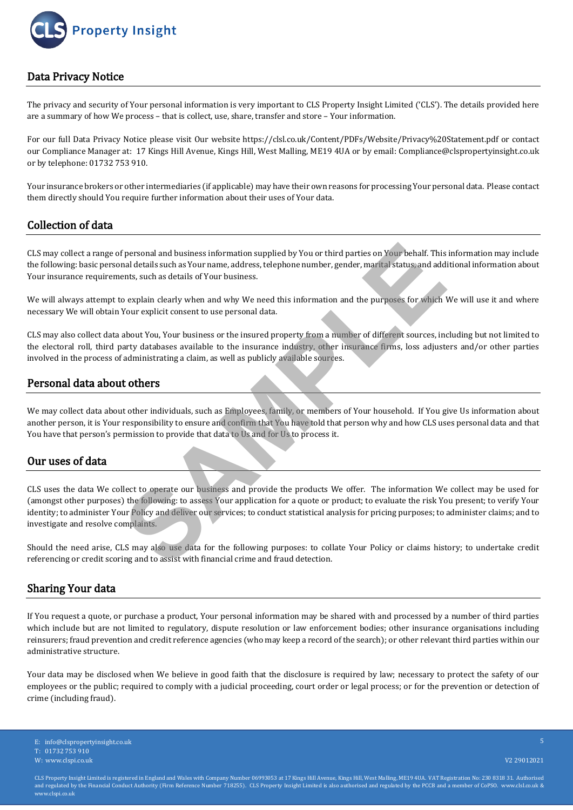

# **Data Privacy Notice**

The privacy and security of Your personal information is very important to CLS Property Insight Limited ('CLS'). The details provided here are a summary of how We process – that is collect, use, share, transfer and store – Your information.

For our full Data Privacy Notice please visit Our website https://clsl.co.uk/Content/PDFs/Website/Privacy%20Statement.pdf or contact our Compliance Manager at: 17 Kings Hill Avenue, Kings Hill, West Malling, ME19 4UA or by email: Compliance@clspropertyinsight.co.uk or by telephone: 01732 753 910.

Your insurance brokers or other intermediaries (if applicable) may have their own reasons for processing Your personal data. Please contact them directly should You require further information about their uses of Your data.

### **Collection of data**

CLS may collect a range of personal and business information supplied by You or third parties on Your behalf. This information may include the following: basic personal details such as Your name, address, telephone number, gender, marital status, and additional information about Your insurance requirements, such as details of Your business.

We will always attempt to explain clearly when and why We need this information and the purposes for which We will use it and where necessary We will obtain Your explicit consent to use personal data.

CLS may also collect data about You, Your business or the insured property from a number of different sources, including but not limited to the electoral roll, third party databases available to the insurance industry, other insurance firms, loss adjusters and/or other parties involved in the process of administrating a claim, as well as publicly available sources.

#### **Personal data about others**

We may collect data about other individuals, such as Employees, family, or members of Your household. If You give Us information about another person, it is Your responsibility to ensure and confirm that You have told that person why and how CLS uses personal data and that You have that person's permission to provide that data to Us and for Us to process it.

#### **Our uses of data**

CLS uses the data We collect to operate our business and provide the products We offer. The information We collect may be used for (amongst other purposes) the following: to assess Your application for a quote or product; to evaluate the risk You present; to verify Your identity; to administer Your Policy and deliver our services; to conduct statistical analysis for pricing purposes; to administer claims; and to investigate and resolve complaints. If personal and business information supplied by You or third parties on Your behalf. This<br>nal details such as Your name, address, telephone number, gender, marital status, and add<br>ents, such as details of Your business.<br>T

Should the need arise, CLS may also use data for the following purposes: to collate Your Policy or claims history; to undertake credit referencing or credit scoring and to assist with financial crime and fraud detection.

#### **Sharing Your data**

If You request a quote, or purchase a product, Your personal information may be shared with and processed by a number of third parties which include but are not limited to regulatory, dispute resolution or law enforcement bodies; other insurance organisations including reinsurers; fraud prevention and credit reference agencies (who may keep a record of the search); or other relevant third parties within our administrative structure.

Your data may be disclosed when We believe in good faith that the disclosure is required by law; necessary to protect the safety of our employees or the public; required to comply with a judicial proceeding, court order or legal process; or for the prevention or detection of crime (including fraud).

E: info@clspropertyinsight.co.uk

T: 01732 753 910

W: www.clspi.co.uk V2 29012021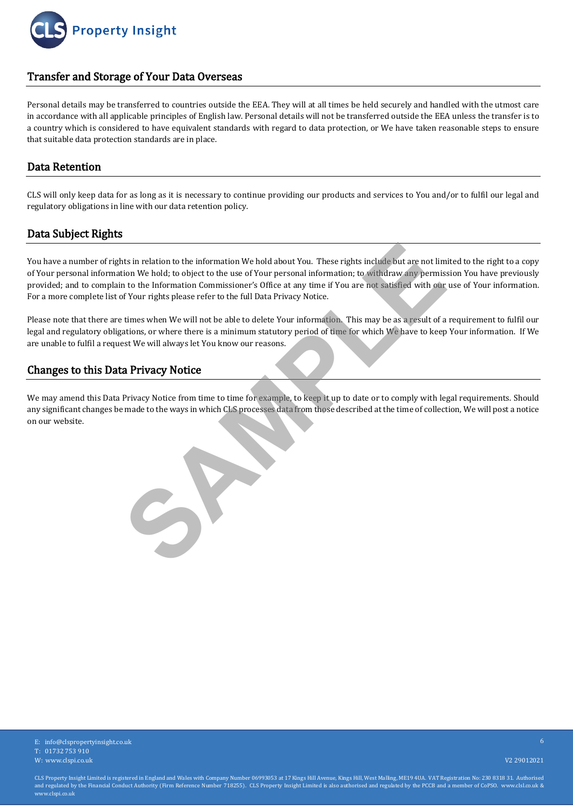

# **Transfer and Storage of Your Data Overseas**

Personal details may be transferred to countries outside the EEA. They will at all times be held securely and handled with the utmost care in accordance with all applicable principles of English law. Personal details will not be transferred outside the EEA unless the transfer is to a country which is considered to have equivalent standards with regard to data protection, or We have taken reasonable steps to ensure that suitable data protection standards are in place.

#### **Data Retention**

CLS will only keep data for as long as it is necessary to continue providing our products and services to You and/or to fulfil our legal and regulatory obligations in line with our data retention policy.

# **Data Subject Rights**

You have a number of rights in relation to the information We hold about You. These rights include but are not limited to the right to a copy of Your personal information We hold; to object to the use of Your personal information; to withdraw any permission You have previously provided; and to complain to the Information Commissioner's Office at any time if You are not satisfied with our use of Your information. For a more complete list of Your rights please refer to the full Data Privacy Notice. this in relation to the information We hold about You. These rights include but are not limit tion We hold; to object to the use of Your personal information; to withdraw any permision to the information Commissioner's Off

Please note that there are times when We will not be able to delete Your information. This may be as a result of a requirement to fulfil our legal and regulatory obligations, or where there is a minimum statutory period of time for which We have to keep Your information. If We are unable to fulfil a request We will always let You know our reasons.

### **Changes to this Data Privacy Notice**

We may amend this Data Privacy Notice from time to time for example, to keep it up to date or to comply with legal requirements. Should any significant changes be made to the ways in which CLS processes data from those described at the time of collection, We will post a notice on our website.

6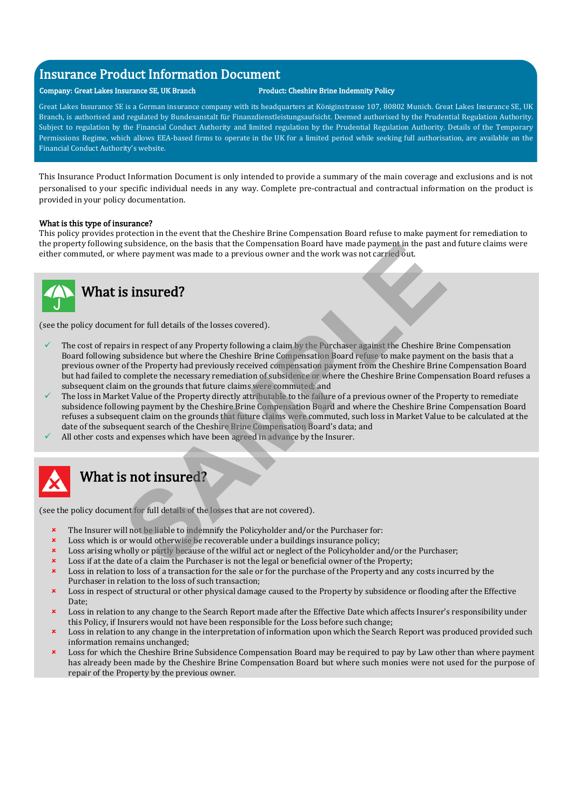# **Insurance Product Information Document**

#### **Company:** Great Lakes Insurance SE, UK Branch Product: Cheshire Brine Indemnity Policy

Great Lakes Insurance SE is a German insurance company with its headquarters at Königinstrasse 107, 80802 Munich. Great Lakes Insurance SE, UK Branch, is authorised and regulated by Bundesanstalt für Finanzdienstleistungsaufsicht. Deemed authorised by the Prudential Regulation Authority. Subject to regulation by the Financial Conduct Authority and limited regulation by the Prudential Regulation Authority. Details of the Temporary Permissions Regime, which allows EEA-based firms to operate in the UK for a limited period while seeking full authorisation, are available on the Financial Conduct Authority's website.

This Insurance Product Information Document is only intended to provide a summary of the main coverage and exclusions and is not personalised to your specific individual needs in any way. Complete pre-contractual and contractual information on the product is provided in your policy documentation.

#### **What is this type of insurance?**

This policy provides protection in the event that the Cheshire Brine Compensation Board refuse to make payment for remediation to the property following subsidence, on the basis that the Compensation Board have made payment in the past and future claims were either commuted, or where payment was made to a previous owner and the work was not carried out.



(see the policy document for full details of the losses covered).

- The cost of repairs in respect of any Property following a claim by the Purchaser against the Cheshire Brine Compensation Board following subsidence but where the Cheshire Brine Compensation Board refuse to make payment on the basis that a previous owner of the Property had previously received compensation payment from the Cheshire Brine Compensation Board but had failed to complete the necessary remediation of subsidence or where the Cheshire Brine Compensation Board refuses a subsequent claim on the grounds that future claims were commuted; and s subsidence, on the basis that the Compensation Board have made payment in the past a<br>there payment was made to a previous owner and the work was not carried out.<br> **SS insured?**<br> **SS insured?**<br> **SS insured?**<br> **SS insured?**
- The loss in Market Value of the Property directly attributable to the failure of a previous owner of the Property to remediate subsidence following payment by the Cheshire Brine Compensation Board and where the Cheshire Brine Compensation Board refuses a subsequent claim on the grounds that future claims were commuted, such loss in Market Value to be calculated at the date of the subsequent search of the Cheshire Brine Compensation Board's data; and
- All other costs and expenses which have been agreed in advance by the Insurer.



# **What is not insured?**

(see the policy document for full details of the losses that are not covered).

- The Insurer will not be liable to indemnify the Policyholder and/or the Purchaser for:
- Loss which is or would otherwise be recoverable under a buildings insurance policy;
- Loss arising wholly or partly because of the wilful act or neglect of the Policyholder and/or the Purchaser;
- Loss if at the date of a claim the Purchaser is not the legal or beneficial owner of the Property;
- Loss in relation to loss of a transaction for the sale or for the purchase of the Property and any costs incurred by the Purchaser in relation to the loss of such transaction;
- Loss in respect of structural or other physical damage caused to the Property by subsidence or flooding after the Effective Date;
- Loss in relation to any change to the Search Report made after the Effective Date which affects Insurer's responsibility under this Policy, if Insurers would not have been responsible for the Loss before such change;
- Loss in relation to any change in the interpretation of information upon which the Search Report was produced provided such information remains unchanged;
- Loss for which the Cheshire Brine Subsidence Compensation Board may be required to pay by Law other than where payment has already been made by the Cheshire Brine Compensation Board but where such monies were not used for the purpose of repair of the Property by the previous owner.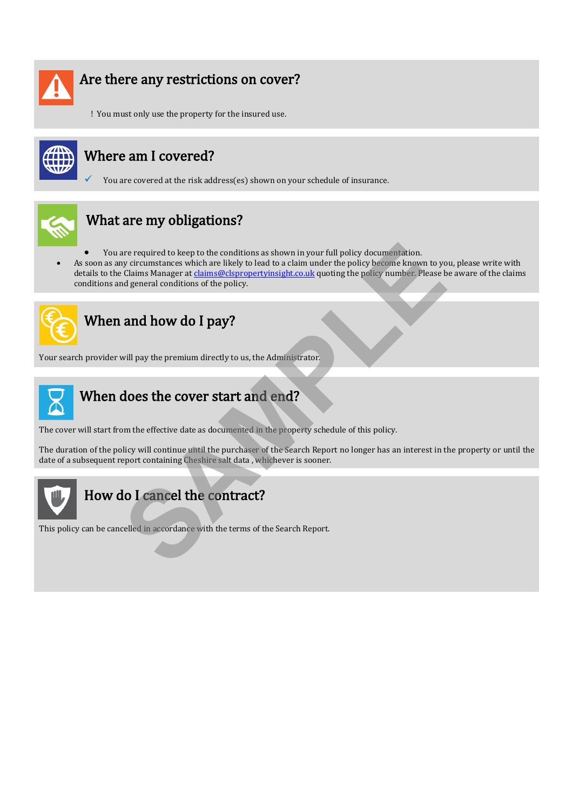

# **Are there any restrictions on cover?**

! You must only use the property for the insured use.



# **Where am I covered?**

You are covered at the risk address(es) shown on your schedule of insurance.



# **What are my obligations?**

- You are required to keep to the conditions as shown in your full policy documentation.
- As soon as any circumstances which are likely to lead to a claim under the policy become known to you, please write with details to theClaims Managerat claims@clspropertyinsight.co.ukquoting the policy number. Please be aware of the claims conditions and general conditions of the policy. are required to keep to the conditions as shown in your full policy documentation.<br>The value of claims Marager at claims (*Calgarentyinsight.co.uk* quoting the policy become known to ye<br>Claims Marager at claims (*Calgarent*



# **When and how do I pay?**

Your search provider will pay the premium directly to us, the Administrator.



# **When does the cover start and end?**

The cover will start from the effective date as documented in the property schedule of this policy.

The duration of the policy will continue until the purchaser of the Search Report no longer has an interest in the property or until the date of a subsequent report containing Cheshire salt data , whichever is sooner.



# **How do I cancel the contract?**

This policy can be cancelled in accordance with the terms of the Search Report.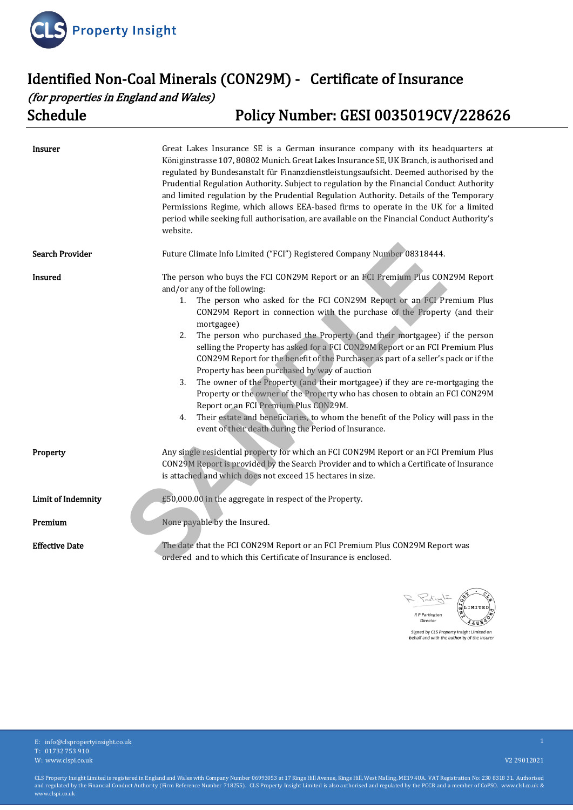

# **Identified Non-Coal Minerals (CON29M) - Certificate of Insurance**  *(for properties in England and Wales)*  **Schedule Policy Number: GESI 0035019CV/228626**

| <b>Insurer</b>         | Great Lakes Insurance SE is a German insurance company with its headquarters at<br>Königinstrasse 107, 80802 Munich. Great Lakes Insurance SE, UK Branch, is authorised and<br>regulated by Bundesanstalt für Finanzdienstleistungsaufsicht. Deemed authorised by the<br>Prudential Regulation Authority. Subject to regulation by the Financial Conduct Authority<br>and limited regulation by the Prudential Regulation Authority. Details of the Temporary<br>Permissions Regime, which allows EEA-based firms to operate in the UK for a limited<br>period while seeking full authorisation, are available on the Financial Conduct Authority's<br>website.                                                                                                                                                                                                                                                                                                         |
|------------------------|-------------------------------------------------------------------------------------------------------------------------------------------------------------------------------------------------------------------------------------------------------------------------------------------------------------------------------------------------------------------------------------------------------------------------------------------------------------------------------------------------------------------------------------------------------------------------------------------------------------------------------------------------------------------------------------------------------------------------------------------------------------------------------------------------------------------------------------------------------------------------------------------------------------------------------------------------------------------------|
| <b>Search Provider</b> | Future Climate Info Limited ("FCI") Registered Company Number 08318444.                                                                                                                                                                                                                                                                                                                                                                                                                                                                                                                                                                                                                                                                                                                                                                                                                                                                                                 |
| Insured                | The person who buys the FCI CON29M Report or an FCI Premium Plus CON29M Report<br>and/or any of the following:<br>The person who asked for the FCI CON29M Report or an FCI Premium Plus<br>1.<br>CON29M Report in connection with the purchase of the Property (and their<br>mortgagee)<br>The person who purchased the Property (and their mortgagee) if the person<br>2.<br>selling the Property has asked for a FCI CON29M Report or an FCI Premium Plus<br>CON29M Report for the benefit of the Purchaser as part of a seller's pack or if the<br>Property has been purchased by way of auction<br>The owner of the Property (and their mortgagee) if they are re-mortgaging the<br>3.<br>Property or the owner of the Property who has chosen to obtain an FCI CON29M<br>Report or an FCI Premium Plus CON29M.<br>Their estate and beneficiaries, to whom the benefit of the Policy will pass in the<br>4.<br>event of their death during the Period of Insurance. |
| Property               | Any single residential property for which an FCI CON29M Report or an FCI Premium Plus<br>CON29M Report is provided by the Search Provider and to which a Certificate of Insurance<br>is attached and which does not exceed 15 hectares in size.                                                                                                                                                                                                                                                                                                                                                                                                                                                                                                                                                                                                                                                                                                                         |
| Limit of Indemnity     | £50,000.00 in the aggregate in respect of the Property.                                                                                                                                                                                                                                                                                                                                                                                                                                                                                                                                                                                                                                                                                                                                                                                                                                                                                                                 |
| Premium                | None payable by the Insured.                                                                                                                                                                                                                                                                                                                                                                                                                                                                                                                                                                                                                                                                                                                                                                                                                                                                                                                                            |
| <b>Effective Date</b>  | The date that the FCI CON29M Report or an FCI Premium Plus CON29M Report was<br>ordered and to which this Certificate of Insurance is enclosed.                                                                                                                                                                                                                                                                                                                                                                                                                                                                                                                                                                                                                                                                                                                                                                                                                         |



Signed by CLS Property Insight Limited on<br>behalf and with the authority of the Insurer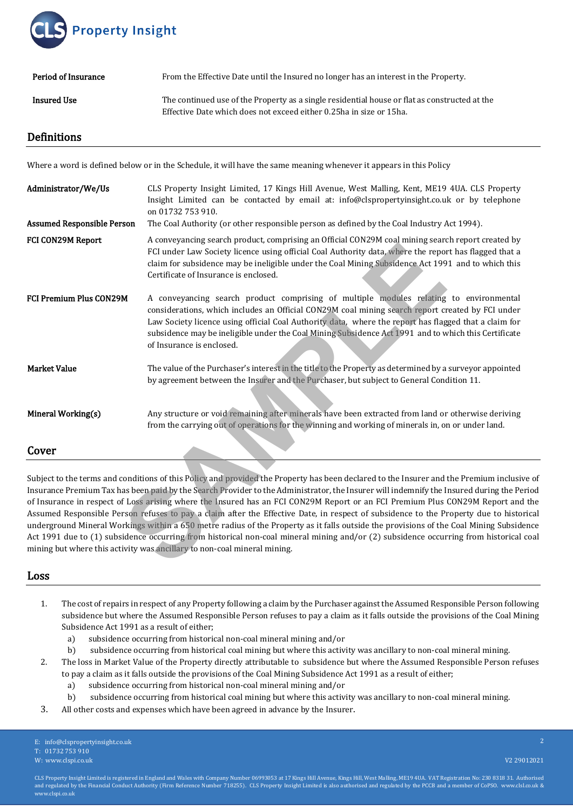

| Period of Insurance | From the Effective Date until the Insured no longer has an interest in the Property.                                                                                 |
|---------------------|----------------------------------------------------------------------------------------------------------------------------------------------------------------------|
| <b>Insured Use</b>  | The continued use of the Property as a single residential house or flat as constructed at the<br>Effective Date which does not exceed either 0.25ha in size or 15ha. |

## **Definitions**

Where a word is defined below or in the Schedule, it will have the same meaning whenever it appears in this Policy

| Administrator/We/Us               | CLS Property Insight Limited, 17 Kings Hill Avenue, West Malling, Kent, ME19 4UA. CLS Property<br>Insight Limited can be contacted by email at: info@clspropertyinsight.co.uk or by telephone<br>on 01732 753 910.                                                                                                                                                                                                                                                                                                                                                                                                                                                                                                                                                                                                                                                                                               |
|-----------------------------------|------------------------------------------------------------------------------------------------------------------------------------------------------------------------------------------------------------------------------------------------------------------------------------------------------------------------------------------------------------------------------------------------------------------------------------------------------------------------------------------------------------------------------------------------------------------------------------------------------------------------------------------------------------------------------------------------------------------------------------------------------------------------------------------------------------------------------------------------------------------------------------------------------------------|
| <b>Assumed Responsible Person</b> | The Coal Authority (or other responsible person as defined by the Coal Industry Act 1994).                                                                                                                                                                                                                                                                                                                                                                                                                                                                                                                                                                                                                                                                                                                                                                                                                       |
| FCI CON29M Report                 | A conveyancing search product, comprising an Official CON29M coal mining search report created by<br>FCI under Law Society licence using official Coal Authority data, where the report has flagged that a<br>claim for subsidence may be ineligible under the Coal Mining Subsidence Act 1991 and to which this<br>Certificate of Insurance is enclosed.                                                                                                                                                                                                                                                                                                                                                                                                                                                                                                                                                        |
| FCI Premium Plus CON29M           | A conveyancing search product comprising of multiple modules relating to environmental<br>considerations, which includes an Official CON29M coal mining search report created by FCI under<br>Law Society licence using official Coal Authority data, where the report has flagged that a claim for<br>subsidence may be ineligible under the Coal Mining Subsidence Act 1991 and to which this Certificate<br>of Insurance is enclosed.                                                                                                                                                                                                                                                                                                                                                                                                                                                                         |
| <b>Market Value</b>               | The value of the Purchaser's interest in the title to the Property as determined by a surveyor appointed<br>by agreement between the Insurer and the Purchaser, but subject to General Condition 11.                                                                                                                                                                                                                                                                                                                                                                                                                                                                                                                                                                                                                                                                                                             |
| Mineral Working(s)                | Any structure or void remaining after minerals have been extracted from land or otherwise deriving<br>from the carrying out of operations for the winning and working of minerals in, on or under land.                                                                                                                                                                                                                                                                                                                                                                                                                                                                                                                                                                                                                                                                                                          |
| Cover                             |                                                                                                                                                                                                                                                                                                                                                                                                                                                                                                                                                                                                                                                                                                                                                                                                                                                                                                                  |
|                                   | Subject to the terms and conditions of this Policy and provided the Property has been declared to the Insurer and the Premium inclusive<br>Insurance Premium Tax has been paid by the Search Provider to the Administrator, the Insurer will indemnify the Insured during the Per<br>of Insurance in respect of Loss arising where the Insured has an FCI CON29M Report or an FCI Premium Plus CON29M Report and<br>Assumed Responsible Person refuses to pay a claim after the Effective Date, in respect of subsidence to the Property due to histor<br>underground Mineral Workings within a 650 metre radius of the Property as it falls outside the provisions of the Coal Mining Subside<br>Act 1991 due to (1) subsidence occurring from historical non-coal mineral mining and/or (2) subsidence occurring from historical o<br>mining but where this activity was ancillary to non-coal mineral mining. |

#### **Loss**

- 1. The cost of repairs in respect of any Property following a claim by the Purchaser against the Assumed Responsible Person following subsidence but where the Assumed Responsible Person refuses to pay a claim as it falls outside the provisions of the Coal Mining Subsidence Act 1991 as a result of either;
	- a) subsidence occurring from historical non-coal mineral mining and/or
	- b) subsidence occurring from historical coal mining but where this activity was ancillary to non-coal mineral mining.
- 2. The loss in Market Value of the Property directly attributable to subsidence but where the Assumed Responsible Person refuses to pay a claim as it falls outside the provisions of the Coal Mining Subsidence Act 1991 as a result of either;
	- a) subsidence occurring from historical non-coal mineral mining and/or
	- b) subsidence occurring from historical coal mining but where this activity was ancillary to non-coal mineral mining.
- 3. All other costs and expenses which have been agreed in advance by the Insurer.

E: info@clspropertyinsight.co.uk

T: 01732 753 910

W: www.clspi.co.uk V2 29012021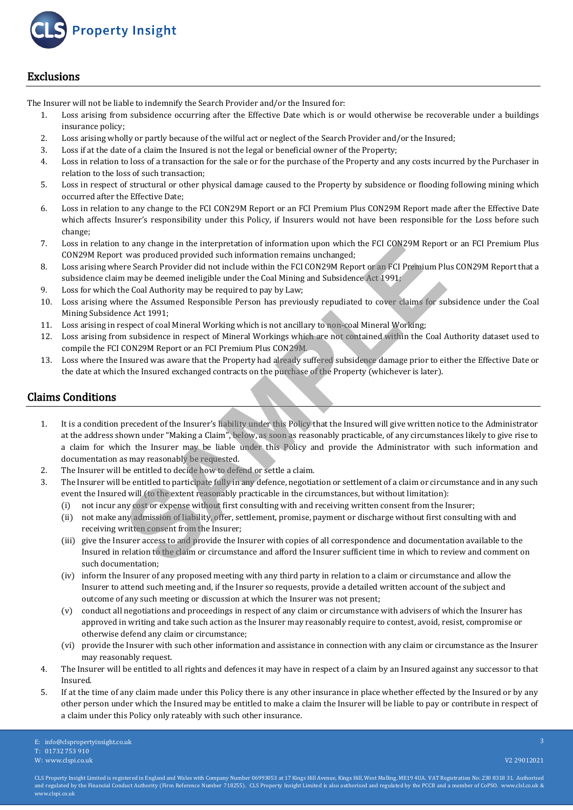

### **Exclusions**

The Insurer will not be liable to indemnify the Search Provider and/or the Insured for:

- 1. Loss arising from subsidence occurring after the Effective Date which is or would otherwise be recoverable under a buildings insurance policy;
- 2. Loss arising wholly or partly because of the wilful act or neglect of the Search Provider and/or the Insured;
- 3. Loss if at the date of a claim the Insured is not the legal or beneficial owner of the Property;
- 4. Loss in relation to loss of a transaction for the sale or for the purchase of the Property and any costs incurred by the Purchaser in relation to the loss of such transaction;
- 5. Loss in respect of structural or other physical damage caused to the Property by subsidence or flooding following mining which occurred after the Effective Date;
- 6. Loss in relation to any change to the FCI CON29M Report or an FCI Premium Plus CON29M Report made after the Effective Date which affects Insurer's responsibility under this Policy, if Insurers would not have been responsible for the Loss before such change;
- 7. Loss in relation to any change in the interpretation of information upon which the FCI CON29M Report or an FCI Premium Plus CON29M Report was produced provided such information remains unchanged;
- 8. Loss arising where Search Provider did not include within the FCI CON29M Report or an FCI Premium Plus CON29M Report that a subsidence claim may be deemed ineligible under the Coal Mining and Subsidence Act 1991;
- 9. Loss for which the Coal Authority may be required to pay by Law;
- 10. Loss arising where the Assumed Responsible Person has previously repudiated to cover claims for subsidence under the Coal Mining Subsidence Act 1991;
- 11. Loss arising in respect of coal Mineral Working which is not ancillary to non-coal Mineral Working;
- 12. Loss arising from subsidence in respect of Mineral Workings which are not contained within the Coal Authority dataset used to compile the FCI CON29M Report or an FCI Premium Plus CON29M.
- 13. Loss where the Insured was aware that the Property had already suffered subsidence damage prior to either the Effective Date or the date at which the Insured exchanged contracts on the purchase of the Property (whichever is later).

# **Claims Conditions**

- 1. It is a condition precedent of the Insurer's liability under this Policy that the Insured will give written notice to the Administrator at the address shown under "Making a Claim", below, as soon as reasonably practicable, of any circumstances likely to give rise to a claim for which the Insurer may be liable under this Policy and provide the Administrator with such information and documentation as may reasonably be requested. to any change in the interpretation of information upon which the FCI CON29M Report<br>to any change in the interpretation formation remains unchanged;<br>two sy produced provider did not include within the FCI CON29M Report or
- 2. The Insurer will be entitled to decide how to defend or settle a claim.
- 3. The Insurer will be entitled to participate fully in any defence, negotiation or settlement of a claim or circumstance and in any such event the Insured will (to the extent reasonably practicable in the circumstances, but without limitation):
	- (i) not incur any cost or expense without first consulting with and receiving written consent from the Insurer;
	- (ii) not make any admission of liability, offer, settlement, promise, payment or discharge without first consulting with and receiving written consent from the Insurer;
	- (iii) give the Insurer access to and provide the Insurer with copies of all correspondence and documentation available to the Insured in relation to the claim or circumstance and afford the Insurer sufficient time in which to review and comment on such documentation;
	- (iv) inform the Insurer of any proposed meeting with any third party in relation to a claim or circumstance and allow the Insurer to attend such meeting and, if the Insurer so requests, provide a detailed written account of the subject and outcome of any such meeting or discussion at which the Insurer was not present;
	- (v) conduct all negotiations and proceedings in respect of any claim or circumstance with advisers of which the Insurer has approved in writing and take such action as the Insurer may reasonably require to contest, avoid, resist, compromise or otherwise defend any claim or circumstance;
	- (vi) provide the Insurer with such other information and assistance in connection with any claim or circumstance as the Insurer may reasonably request.
- 4. The Insurer will be entitled to all rights and defences it may have in respect of a claim by an Insured against any successor to that Insured.
- 5. If at the time of any claim made under this Policy there is any other insurance in place whether effected by the Insured or by any other person under which the Insured may be entitled to make a claim the Insurer will be liable to pay or contribute in respect of a claim under this Policy only rateably with such other insurance.

W: www.clspi.co.uk V2 29012021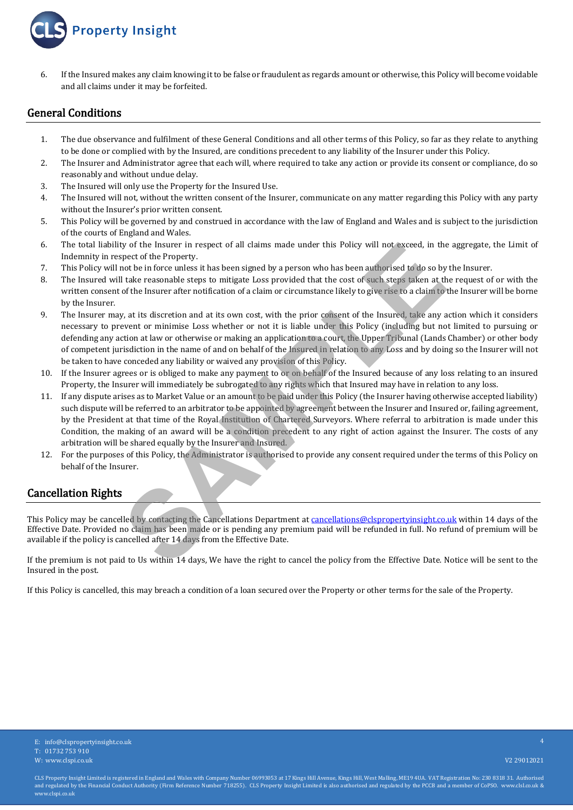

6. If the Insured makes any claim knowing it to be false or fraudulent as regards amount or otherwise, this Policy will become voidable and all claims under it may be forfeited.

### **General Conditions**

- 1. The due observance and fulfilment of these General Conditions and all other terms of this Policy, so far as they relate to anything to be done or complied with by the Insured, are conditions precedent to any liability of the Insurer under this Policy.
- 2. The Insurer and Administrator agree that each will, where required to take any action or provide its consent or compliance, do so reasonably and without undue delay.
- 3. The Insured will only use the Property for the Insured Use.
- 4. The Insured will not, without the written consent of the Insurer, communicate on any matter regarding this Policy with any party without the Insurer's prior written consent.
- 5. This Policy will be governed by and construed in accordance with the law of England and Wales and is subject to the jurisdiction of the courts of England and Wales.
- 6. The total liability of the Insurer in respect of all claims made under this Policy will not exceed, in the aggregate, the Limit of Indemnity in respect of the Property.
- 7. This Policy will not be in force unless it has been signed by a person who has been authorised to do so by the Insurer.
- 8. The Insured will take reasonable steps to mitigate Loss provided that the cost of such steps taken at the request of or with the written consent of the Insurer after notification of a claim or circumstance likely to give rise to a claim to the Insurer will be borne by the Insurer.
- 9. The Insurer may, at its discretion and at its own cost, with the prior consent of the Insured, take any action which it considers necessary to prevent or minimise Loss whether or not it is liable under this Policy (including but not limited to pursuing or defending any action at law or otherwise or making an application to a court, the Upper Tribunal (Lands Chamber) or other body of competent jurisdiction in the name of and on behalf of the Insured in relation to any Loss and by doing so the Insurer will not be taken to have conceded any liability or waived any provision of this Policy.
- 10. If the Insurer agrees or is obliged to make any payment to or on behalf of the Insured because of any loss relating to an insured Property, the Insurer will immediately be subrogated to any rights which that Insured may have in relation to any loss.
- 11. If any dispute arises as to Market Value or an amount to be paid under this Policy (the Insurer having otherwise accepted liability) such dispute will be referred to an arbitrator to be appointed by agreement between the Insurer and Insured or, failing agreement, by the President at that time of the Royal Institution of Chartered Surveyors. Where referral to arbitration is made under this Condition, the making of an award will be a condition precedent to any right of action against the Insurer. The costs of any arbitration will be shared equally by the Insurer and Insured. ty of the Insurer in respect of all claims made under this Policy will not exceed, in the notice to the Property.<br>Bead to the profession and the constrained by a person who has been authorised to do so by late reasonable s
- 12. For the purposes of this Policy, the Administrator is authorised to provide any consent required under the terms of this Policy on behalf of the Insurer.

# **Cancellation Rights**

This Policy may be cancelled by contacting the Cancellations Department at cancellations@clspropertyinsight.co.uk within 14 days of the Effective Date. Provided no claim has been made or is pending any premium paid will be refunded in full. No refund of premium will be available if the policy is cancelled after 14 days from the Effective Date.

If the premium is not paid to Us within 14 days, We have the right to cancel the policy from the Effective Date. Notice will be sent to the Insured in the post.

If this Policy is cancelled, this may breach a condition of a loan secured over the Property or other terms for the sale of the Property.

4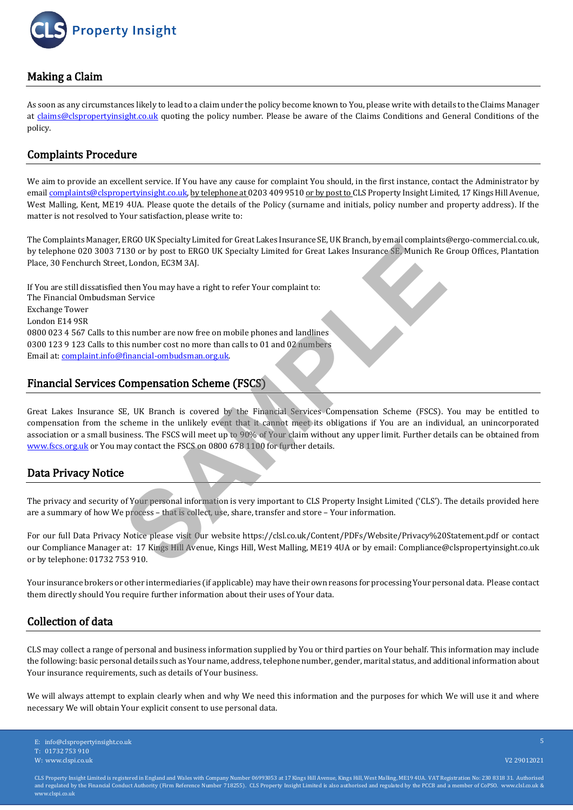

# **Making a Claim**

As soon as any circumstances likely to lead to a claim under the policy become known to You, please write with details to theClaims Manager at [claims@clspropertyinsight.co.uk](mailto:claims@clsrs.co.uk)quoting the policy number. Please be aware of the Claims Conditions and General Conditions of the policy.

# **Complaints Procedure**

We aim to provide an excellent service. If You have any cause for complaint You should, in the first instance, contact the Administrator by email [complaints@clspropertyinsight.co.uk,](mailto:complaints@clsrs.co.uk) by telephone at 0203 409 9510 or by post to CLS Property Insight Limited, 17 Kings Hill Avenue, West Malling, Kent, ME19 4UA. Please quote the details of the Policy (surname and initials, policy number and property address). If the matter is not resolved to Your satisfaction, please write to:

The Complaints Manager, ERGO UK Specialty Limited for Great Lakes Insurance SE, UK Branch, by email complaints@ergo-commercial.co.uk, by telephone 020 3003 7130 or by post to ERGO UK Specialty Limited for Great Lakes Insurance SE, Munich Re Group Offices, Plantation Place, 30 Fenchurch Street, London, EC3M 3AJ.

If You are still dissatisfied then You may have a right to refer Your complaint to: The Financial Ombudsman Service Exchange Tower London E14 9SR 0800 023 4 567 Calls to this number are now free on mobile phones and landlines 0300 123 9 123 Calls to this number cost no more than calls to 01 and 02 numbers Email at: [complaint.info@financial-ombudsman.org.uk.](mailto:complaint.info@financial-ombudsman.org.uk) Extract of spectral bandwidth of the teach is the protection of the proteinance SE, by a state in the proteinance SE. Munich Re<br> **SAMPLE AT A SAMPLE AT A SAMPLE AND A SET AND A SET A SAMPLE AT A SAMPLE AT A SAMPLE AT A sta** 

### **Financial Services Compensation Scheme (FSCS)**

Great Lakes Insurance SE, UK Branch is covered by the Financial Services Compensation Scheme (FSCS). You may be entitled to compensation from the scheme in the unlikely event that it cannot meet its obligations if You are an individual, an unincorporated association or a small business. The FSCS will meet up to 90% of Your claim without any upper limit. Further details can be obtained from [www.fscs.org.uk](http://www.fscs.org.uk/) or You may contact the FSCS on 0800 678 1100 for further details.

# **Data Privacy Notice**

The privacy and security of Your personal information is very important to CLS Property Insight Limited ('CLS'). The details provided here are a summary of how We process – that is collect, use, share, transfer and store – Your information.

For our full Data Privacy Notice please visit Our website https://clsl.co.uk/Content/PDFs/Website/Privacy%20Statement.pdf or contact our Compliance Manager at: 17 Kings Hill Avenue, Kings Hill, West Malling, ME19 4UA or by email: Compliance@clspropertyinsight.co.uk or by telephone: 01732 753 910.

Your insurance brokers or other intermediaries (if applicable) may have their own reasons for processing Your personal data. Please contact them directly should You require further information about their uses of Your data.

# **Collection of data**

CLS may collect a range of personal and business information supplied by You or third parties on Your behalf. This information may include the following: basic personal details such as Your name, address, telephone number, gender, marital status, and additional information about Your insurance requirements, such as details of Your business.

We will always attempt to explain clearly when and why We need this information and the purposes for which We will use it and where necessary We will obtain Your explicit consent to use personal data.

E: info@clspropertyinsight.co.uk

T: 01732 753 910

W: www.clspi.co.uk V2 29012021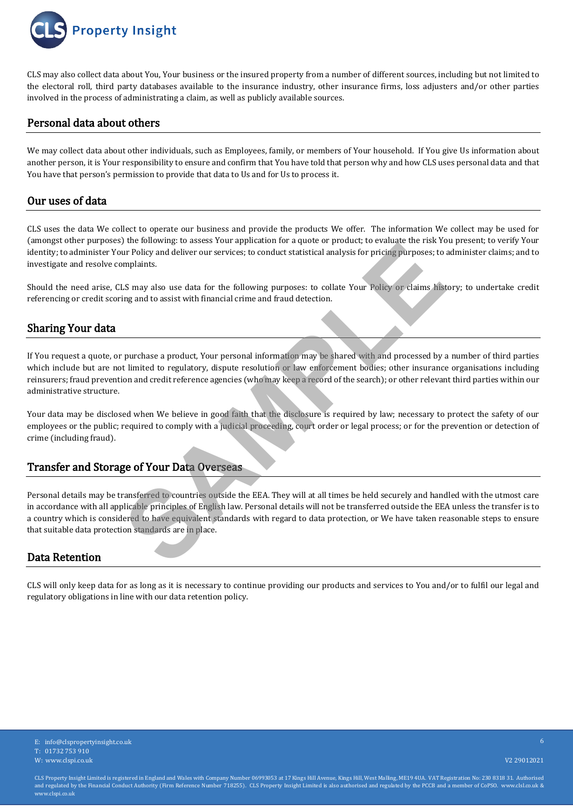**Property Insight** 

CLS may also collect data about You, Your business or the insured property from a number of different sources, including but not limited to the electoral roll, third party databases available to the insurance industry, other insurance firms, loss adjusters and/or other parties involved in the process of administrating a claim, as well as publicly available sources.

### **Personal data about others**

We may collect data about other individuals, such as Employees, family, or members of Your household. If You give Us information about another person, it is Your responsibility to ensure and confirm that You have told that person why and how CLS uses personal data and that You have that person's permission to provide that data to Us and for Us to process it.

### **Our uses of data**

CLS uses the data We collect to operate our business and provide the products We offer. The information We collect may be used for (amongst other purposes) the following: to assess Your application for a quote or product; to evaluate the risk You present; to verify Your identity; to administer Your Policy and deliver our services; to conduct statistical analysis for pricing purposes; to administer claims; and to investigate and resolve complaints.

Should the need arise, CLS may also use data for the following purposes: to collate Your Policy or claims history; to undertake credit referencing or credit scoring and to assist with financial crime and fraud detection.

# **Sharing Your data**

If You request a quote, or purchase a product, Your personal information may be shared with and processed by a number of third parties which include but are not limited to regulatory, dispute resolution or law enforcement bodies; other insurance organisations including reinsurers; fraud prevention and credit reference agencies (who may keep a record of the search); or other relevant third parties within our administrative structure.

Your data may be disclosed when We believe in good faith that the disclosure is required by law; necessary to protect the safety of our employees or the public; required to comply with a judicial proceeding, court order or legal process; or for the prevention or detection of crime (including fraud).

# **Transfer and Storage of Your Data Overseas**

Personal details may be transferred to countries outside the EEA. They will at all times be held securely and handled with the utmost care in accordance with all applicable principles of English law. Personal details will not be transferred outside the EEA unless the transfer is to a country which is considered to have equivalent standards with regard to data protection, or We have taken reasonable steps to ensure that suitable data protection standards are in place. The thouwing: to assess four application for a quote of product; to evantate units in the total<br>our Policy and deliver our services; to conduct statistical analysis for pricing purposes; to<br>sumplaints.<br>LS may also use data

# **Data Retention**

CLS will only keep data for as long as it is necessary to continue providing our products and services to You and/or to fulfil our legal and regulatory obligations in line with our data retention policy.

6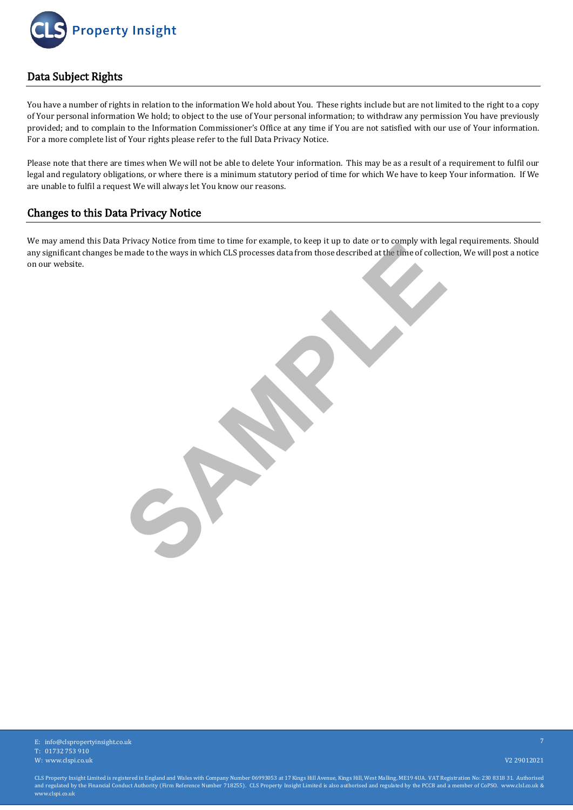

# **Data Subject Rights**

You have a number of rights in relation to the information We hold about You. These rights include but are not limited to the right to a copy of Your personal information We hold; to object to the use of Your personal information; to withdraw any permission You have previously provided; and to complain to the Information Commissioner's Office at any time if You are not satisfied with our use of Your information. For a more complete list of Your rights please refer to the full Data Privacy Notice.

Please note that there are times when We will not be able to delete Your information. This may be as a result of a requirement to fulfil our legal and regulatory obligations, or where there is a minimum statutory period of time for which We have to keep Your information. If We are unable to fulfil a request We will always let You know our reasons.

# **Changes to this Data Privacy Notice**

We may amend this Data Privacy Notice from time to time for example, to keep it up to date or to comply with legal requirements. Should any significant changes be made to the ways in which CLS processes data from those described at the time of collection, We will post a notice on our website. Frivady Notice from time to unter for example, to keep it up to cate of the torontogiv withing the control of the control of the control of the control of the control of the control of the control of the control of the con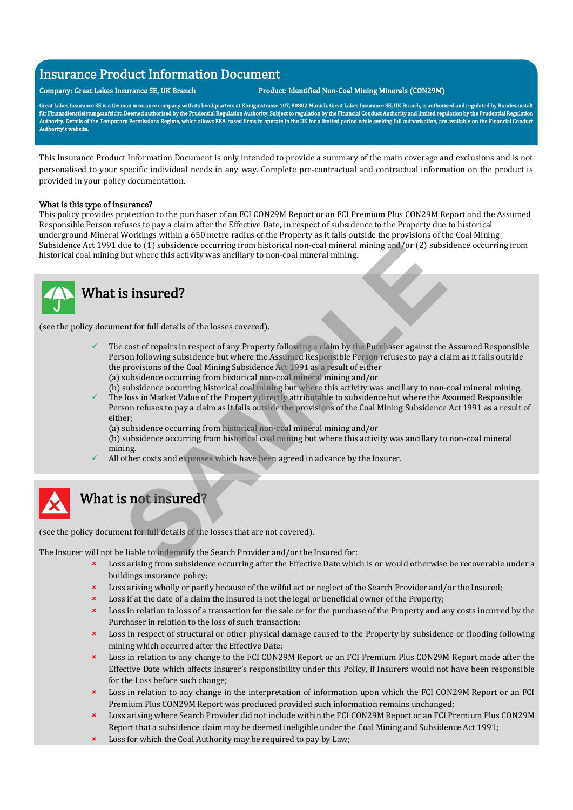# **Insurance Product Information Document**

#### **Company: Great Lakes Insurance SE, UK Branch Product: Identified Non-Coal Mining Minerals (CON29M)**

Great Lakes Insurance SE is a German insurance company with its headquarters at Königinstrasse 107, 80802 Munich. Great Lakes Insurance SE, UK Branch, is authorised and regulated by Bundesanstal and regulated by Bundesanst **für Finanzdienstleistungsaufsicht. Deemed authorised by the Prudential Regulation Authority. Subject to regulation by the Financial Conduct Authority and limited regulation by the Prudential Regulation Authority. Details of the Temporary Permissions Regime, which allows EEA-based firms to operate in the UK for a limited period while seeking full authorisation, are available on the Financial Conduct Authority's website.**

This Insurance Product Information Document is only intended to provide a summary of the main coverage and exclusions and is not personalised to your specific individual needs in any way. Complete pre-contractual and contractual information on the product is provided in your policy documentation.

#### **What is this type of insurance?**

This policy provides protection to the purchaser of an FCI CON29M Report or an FCI Premium Plus CON29M Report and the Assumed Responsible Person refuses to pay a claim after the Effective Date, in respect of subsidence to the Property due to historical underground Mineral Workings within a 650 metre radius of the Property as it falls outside the provisions of the Coal Mining Subsidence Act 1991 due to (1) subsidence occurring from historical non-coal mineral mining and/or (2) subsidence occurring from historical coal mining but where this activity was ancillary to non-coal mineral mining.



# **What is insured?**

(see the policy document for full details of the losses covered).

- The cost of repairs in respect of any Property following a claim by the Purchaser against the Assumed Responsible Person following subsidence but where the Assumed Responsible Person refuses to pay a claim as it falls outside the provisions of the Coal Mining Subsidence Act 1991 as a result of either (a) subsidence occurring from historical non-coal mineral mining and/or 1.1991 due to (1.1) subsidence occurring from historical noor coal mineral mining and/or (2) substituting minimal minimal minimal minimal minimal minimal minimal minimal minimal minimal minimal minimal minimal minimal mini
- (b) subsidence occurring historical coal mining but where this activity was ancillary to non-coal mineral mining. The loss in Market Value of the Property directly attributable to subsidence but where the Assumed Responsible Person refuses to pay a claim as it falls outside the provisions of the Coal Mining Subsidence Act 1991 as a result of either;
	- (a) subsidence occurring from historical non-coal mineral mining and/or
	- (b) subsidence occurring from historical coal mining but where this activity was ancillary to non-coal mineral mining.
- All other costs and expenses which have been agreed in advance by the Insurer.



# **What is not insured?**

(see the policy document for full details of the losses that are not covered).

The Insurer will not be liable to indemnify the Search Provider and/or the Insured for:

- Loss arising from subsidence occurring after the Effective Date which is or would otherwise be recoverable under a buildings insurance policy;
- Loss arising wholly or partly because of the wilful act or neglect of the Search Provider and/or the Insured;
- Loss if at the date of a claim the Insured is not the legal or beneficial owner of the Property;
- Loss in relation to loss of a transaction for the sale or for the purchase of the Property and any costs incurred by the Purchaser in relation to the loss of such transaction;
- Loss in respect of structural or other physical damage caused to the Property by subsidence or flooding following mining which occurred after the Effective Date;
- Loss in relation to any change to the FCI CON29M Report or an FCI Premium Plus CON29M Report made after the Effective Date which affects Insurer's responsibility under this Policy, if Insurers would not have been responsible for the Loss before such change;
- Loss in relation to any change in the interpretation of information upon which the FCI CON29M Report or an FCI Premium Plus CON29M Report was produced provided such information remains unchanged;
- Loss arising where Search Provider did not include within the FCI CON29M Report or an FCI Premium Plus CON29M Report that a subsidence claim may be deemed ineligible under the Coal Mining and Subsidence Act 1991;
-